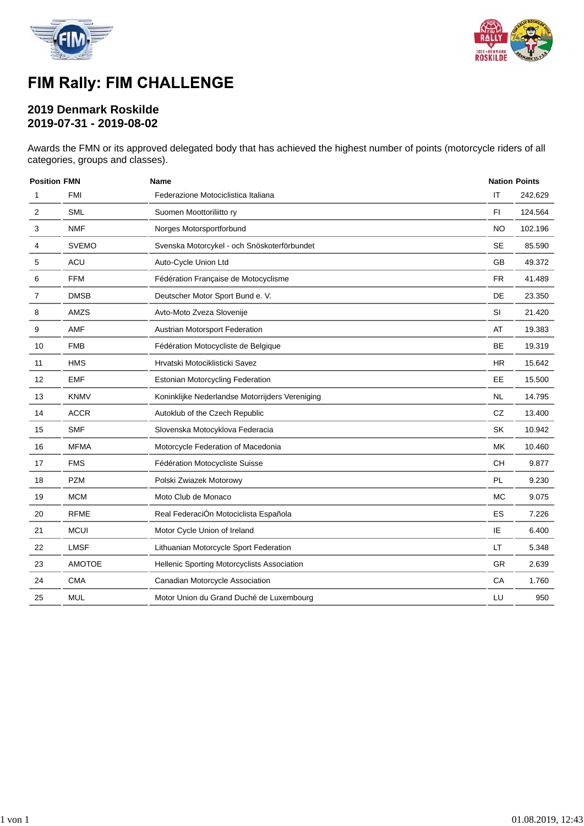



# FIM Rally: FIM CHALLENGE

### **2019 Denmark Roskilde 2019-07-31 - 2019-08-02**

Awards the FMN or its approved delegated body that has achieved the highest number of points (motorcycle riders of all categories, groups and classes).

| <b>Position FMN</b> |               | <b>Name</b>                                     |           | <b>Nation Points</b> |  |  |
|---------------------|---------------|-------------------------------------------------|-----------|----------------------|--|--|
| 1                   | <b>FMI</b>    | Federazione Motociclistica Italiana             | IT        | 242.629              |  |  |
| 2                   | <b>SML</b>    | Suomen Moottoriliitto ry                        | FI.       | 124.564              |  |  |
| 3                   | <b>NMF</b>    | Norges Motorsportforbund                        | <b>NO</b> | 102.196              |  |  |
| 4                   | <b>SVEMO</b>  | Svenska Motorcykel - och Snöskoterförbundet     | <b>SE</b> | 85.590               |  |  |
| 5                   | <b>ACU</b>    | Auto-Cycle Union Ltd                            | GB        | 49.372               |  |  |
| 6                   | <b>FFM</b>    | Fédération Française de Motocyclisme            | FR.       | 41.489               |  |  |
| 7                   | <b>DMSB</b>   | Deutscher Motor Sport Bund e. V.                | <b>DE</b> | 23.350               |  |  |
| 8                   | AMZS          | Avto-Moto Zveza Slovenije                       | SI        | 21.420               |  |  |
| 9                   | AMF           | Austrian Motorsport Federation                  | AT        | 19.383               |  |  |
| 10                  | <b>FMB</b>    | Fédération Motocycliste de Belgique             | BE        | 19.319               |  |  |
| 11                  | <b>HMS</b>    | Hrvatski Motociklisticki Savez                  | HR.       | 15.642               |  |  |
| 12                  | <b>EMF</b>    | <b>Estonian Motorcycling Federation</b>         | EЕ        | 15.500               |  |  |
| 13                  | <b>KNMV</b>   | Koninklijke Nederlandse Motorrijders Vereniging | <b>NL</b> | 14.795               |  |  |
| 14                  | <b>ACCR</b>   | Autoklub of the Czech Republic                  | CZ        | 13.400               |  |  |
| 15                  | <b>SMF</b>    | Slovenska Motocyklova Federacia                 | SK        | 10.942               |  |  |
| 16                  | <b>MFMA</b>   | Motorcycle Federation of Macedonia              | МK        | 10.460               |  |  |
| 17                  | <b>FMS</b>    | Fédération Motocycliste Suisse                  | <b>CH</b> | 9.877                |  |  |
| 18                  | <b>PZM</b>    | Polski Zwiazek Motorowy                         | PL        | 9.230                |  |  |
| 19                  | <b>MCM</b>    | Moto Club de Monaco                             | <b>MC</b> | 9.075                |  |  |
| 20                  | <b>RFME</b>   | Real FederaciÓn Motociclista Española           | ES        | 7.226                |  |  |
| 21                  | <b>MCUI</b>   | Motor Cycle Union of Ireland                    | IE        | 6.400                |  |  |
| 22                  | <b>LMSF</b>   | Lithuanian Motorcycle Sport Federation          | LT        | 5.348                |  |  |
| 23                  | <b>AMOTOE</b> | Hellenic Sporting Motorcyclists Association     | <b>GR</b> | 2.639                |  |  |
| 24                  | <b>CMA</b>    | Canadian Motorcycle Association                 | CA        | 1.760                |  |  |
| 25                  | <b>MUL</b>    | Motor Union du Grand Duché de Luxembourg        | LU        | 950                  |  |  |
|                     |               |                                                 |           |                      |  |  |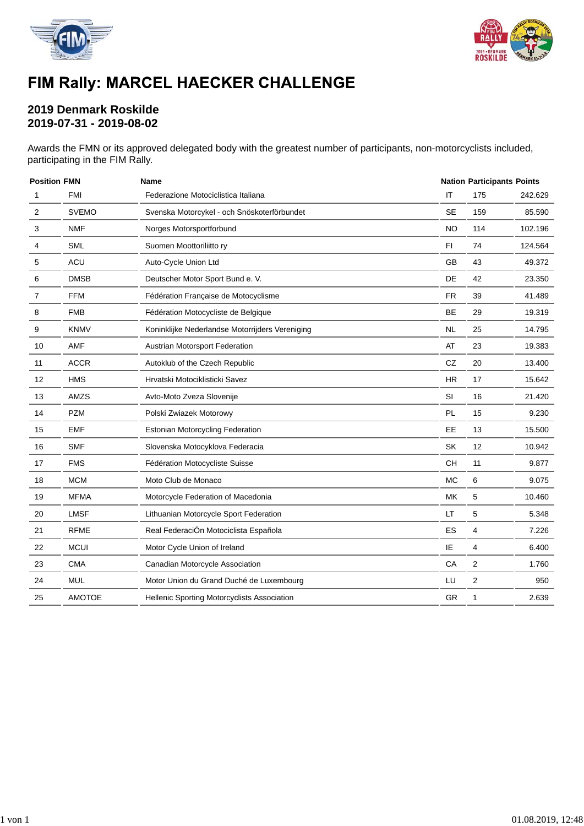



# FIM Rally: MARCEL HAECKER CHALLENGE

### **2019 Denmark Roskilde 2019-07-31 - 2019-08-02**

Awards the FMN or its approved delegated body with the greatest number of participants, non-motorcyclists included, participating in the FIM Rally.

| <b>Position FMN</b> |               | <b>Name</b>                                     |           | <b>Nation Participants Points</b> |         |  |
|---------------------|---------------|-------------------------------------------------|-----------|-----------------------------------|---------|--|
| 1                   | <b>FMI</b>    | Federazione Motociclistica Italiana             | IT        | 175                               | 242.629 |  |
| $\overline{2}$      | <b>SVEMO</b>  | Svenska Motorcykel - och Snöskoterförbundet     | <b>SE</b> | 159                               | 85.590  |  |
| 3                   | <b>NMF</b>    | Norges Motorsportforbund                        | <b>NO</b> | 114                               | 102.196 |  |
| 4                   | <b>SML</b>    | Suomen Moottoriliitto ry                        | FI.       | 74                                | 124.564 |  |
| 5                   | ACU           | Auto-Cycle Union Ltd                            | GB        | 43                                | 49.372  |  |
| 6                   | <b>DMSB</b>   | Deutscher Motor Sport Bund e. V.                | DE        | 42                                | 23.350  |  |
| 7                   | <b>FFM</b>    | Fédération Française de Motocyclisme            | <b>FR</b> | 39                                | 41.489  |  |
| 8                   | <b>FMB</b>    | Fédération Motocycliste de Belgique             | BE        | 29                                | 19.319  |  |
| 9                   | <b>KNMV</b>   | Koninklijke Nederlandse Motorrijders Vereniging | NL        | 25                                | 14.795  |  |
| 10                  | AMF           | Austrian Motorsport Federation                  | AT        | 23                                | 19.383  |  |
| 11                  | <b>ACCR</b>   | Autoklub of the Czech Republic                  | CZ        | 20                                | 13.400  |  |
| 12                  | <b>HMS</b>    | Hrvatski Motociklisticki Savez                  | <b>HR</b> | 17                                | 15.642  |  |
| 13                  | AMZS          | Avto-Moto Zveza Slovenije                       | SI        | 16                                | 21.420  |  |
| 14                  | <b>PZM</b>    | Polski Zwiazek Motorowy                         | PL        | 15                                | 9.230   |  |
| 15                  | <b>EMF</b>    | <b>Estonian Motorcycling Federation</b>         | EE        | 13                                | 15.500  |  |
| 16                  | <b>SMF</b>    | Slovenska Motocyklova Federacia                 | SK        | 12                                | 10.942  |  |
| 17                  | <b>FMS</b>    | Fédération Motocycliste Suisse                  | CH        | 11                                | 9.877   |  |
| 18                  | <b>MCM</b>    | Moto Club de Monaco                             | <b>MC</b> | 6                                 | 9.075   |  |
| 19                  | <b>MFMA</b>   | Motorcycle Federation of Macedonia              | MK        | 5                                 | 10.460  |  |
| 20                  | <b>LMSF</b>   | Lithuanian Motorcycle Sport Federation          | LT        | 5                                 | 5.348   |  |
| 21                  | <b>RFME</b>   | Real FederaciÓn Motociclista Española           | ES        | $\overline{4}$                    | 7.226   |  |
| 22                  | <b>MCUI</b>   | Motor Cycle Union of Ireland                    | IE        | 4                                 | 6.400   |  |
| 23                  | <b>CMA</b>    | Canadian Motorcycle Association                 | CA        | 2                                 | 1.760   |  |
| 24                  | <b>MUL</b>    | Motor Union du Grand Duché de Luxembourg        | LU        | $\overline{c}$                    | 950     |  |
| 25                  | <b>AMOTOE</b> | Hellenic Sporting Motorcyclists Association     | GR        | 1                                 | 2.639   |  |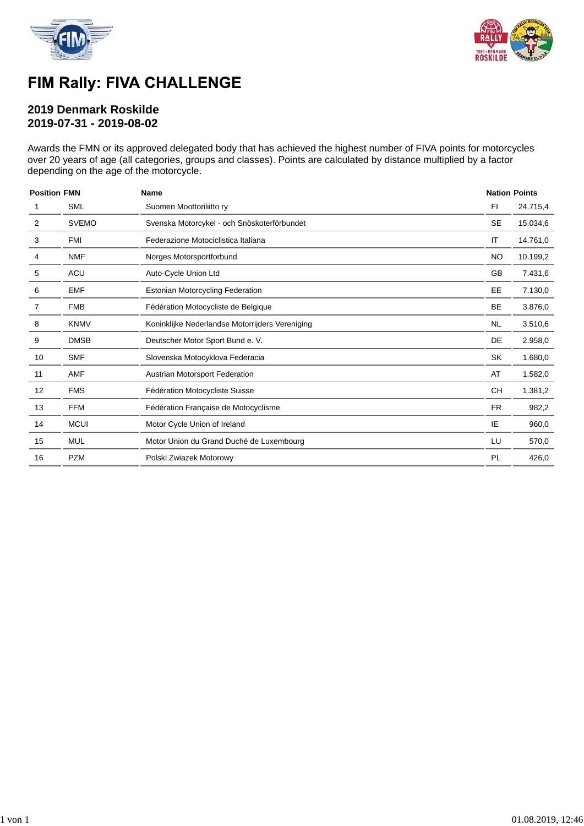



## FIM Rally: FIVA CHALLENGE

### **2019 Denmark Roskilde 2019-07-31 - 2019-08-02**

Awards the FMN or its approved delegated body that has achieved the highest number of FIVA points for motorcycles over 20 years of age (all categories, groups and classes). Points are calculated by distance multiplied by a factor depending on the age of the motorcycle.

| <b>Position FMN</b> |              | <b>Name</b>                                     |           | <b>Nation Points</b> |
|---------------------|--------------|-------------------------------------------------|-----------|----------------------|
|                     | <b>SML</b>   | Suomen Moottoriliitto ry                        | FI        | 24.715,4             |
| 2                   | <b>SVEMO</b> | Svenska Motorcykel - och Snöskoterförbundet     | <b>SE</b> | 15.034,6             |
| 3                   | FMI          | Federazione Motociclistica Italiana             | IT        | 14.761,0             |
| 4                   | <b>NMF</b>   | Norges Motorsportforbund                        | <b>NO</b> | 10.199,2             |
| 5                   | <b>ACU</b>   | Auto-Cycle Union Ltd                            |           | 7.431,6              |
| 6                   | <b>EMF</b>   | Estonian Motorcycling Federation                | EE        | 7.130,0              |
| 7                   | <b>FMB</b>   | Fédération Motocycliste de Belgique             | <b>BE</b> | 3.876,0              |
| 8                   | <b>KNMV</b>  | Koninklijke Nederlandse Motorrijders Vereniging | <b>NL</b> | 3.510,6              |
| 9                   | <b>DMSB</b>  | Deutscher Motor Sport Bund e. V.                | DE        | 2.958,0              |
| 10                  | <b>SMF</b>   | Slovenska Motocyklova Federacia                 | <b>SK</b> | 1.680,0              |
| 11                  | <b>AMF</b>   | Austrian Motorsport Federation                  | AT        | 1.582,0              |
| 12                  | <b>FMS</b>   | Fédération Motocycliste Suisse                  | <b>CH</b> | 1.381,2              |
| 13                  | <b>FFM</b>   | Fédération Française de Motocyclisme            | <b>FR</b> | 982,2                |
| 14                  | <b>MCUI</b>  | Motor Cycle Union of Ireland                    | IE        | 960,0                |
| 15                  | <b>MUL</b>   | Motor Union du Grand Duché de Luxembourg        | LU        | 570,0                |
| 16                  | <b>PZM</b>   | Polski Zwiazek Motorowy                         | PL        | 426,0                |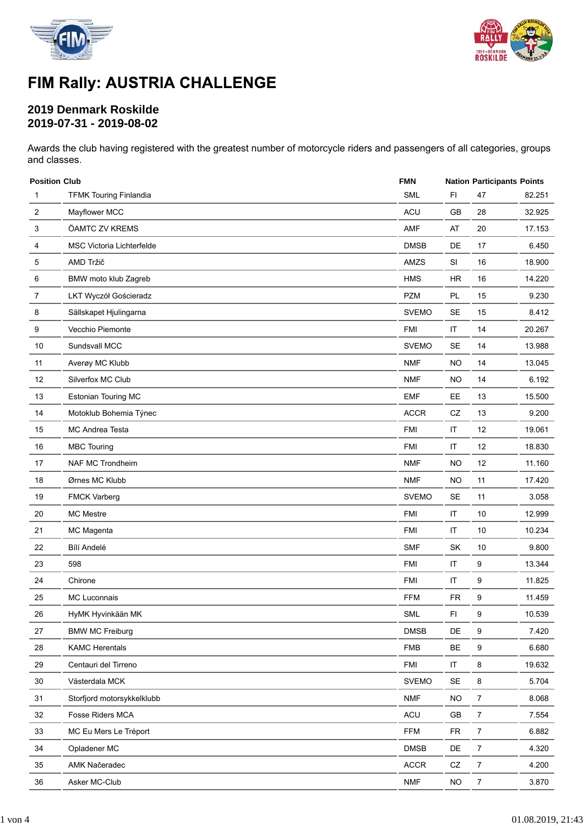



# FIM Rally: AUSTRIA CHALLENGE

### **2019 Denmark Roskilde 2019-07-31 - 2019-08-02**

Awards the club having registered with the greatest number of motorcycle riders and passengers of all categories, groups and classes.

| <b>Position Club</b>             | <b>FMN</b>   |                      | <b>Nation Participants Points</b> |        |  |
|----------------------------------|--------------|----------------------|-----------------------------------|--------|--|
| <b>TFMK Touring Finlandia</b>    | <b>SML</b>   | F1                   | 47                                | 82.251 |  |
| Mayflower MCC                    | <b>ACU</b>   | GB                   | 28                                | 32.925 |  |
| ÖAMTC ZV KREMS                   | AMF          | AT                   | 20                                | 17.153 |  |
| <b>MSC Victoria Lichterfelde</b> | <b>DMSB</b>  | DE                   | 17                                | 6.450  |  |
| AMD Tržič                        | AMZS         | SI                   | 16                                | 18.900 |  |
| BMW moto klub Zagreb             | <b>HMS</b>   | <b>HR</b>            | 16                                | 14.220 |  |
| LKT Wyczół Gościeradz            | <b>PZM</b>   | PL                   | 15                                | 9.230  |  |
| Sällskapet Hjulingarna           | <b>SVEMO</b> | <b>SE</b>            | 15                                | 8.412  |  |
| Vecchio Piemonte                 | <b>FMI</b>   | $\sf IT$             | 14                                | 20.267 |  |
| Sundsvall MCC                    | <b>SVEMO</b> | SE                   | 14                                | 13.988 |  |
| Averøy MC Klubb                  | <b>NMF</b>   | <b>NO</b>            | 14                                | 13.045 |  |
| Silverfox MC Club                | <b>NMF</b>   | <b>NO</b>            | 14                                | 6.192  |  |
| <b>Estonian Touring MC</b>       | <b>EMF</b>   | EE                   | 13                                | 15.500 |  |
| Motoklub Bohemia Týnec           | <b>ACCR</b>  | CZ                   | 13                                | 9.200  |  |
| <b>MC Andrea Testa</b>           | <b>FMI</b>   | IT                   | 12                                | 19.061 |  |
| <b>MBC Touring</b>               | <b>FMI</b>   | $\sf IT$             | 12                                | 18.830 |  |
| NAF MC Trondheim                 | <b>NMF</b>   | <b>NO</b>            | 12                                | 11.160 |  |
| Ørnes MC Klubb                   | <b>NMF</b>   | <b>NO</b>            | 11                                | 17.420 |  |
| <b>FMCK Varberg</b>              | <b>SVEMO</b> | SE                   | 11                                | 3.058  |  |
| <b>MC Mestre</b>                 | <b>FMI</b>   | IT                   | 10                                | 12.999 |  |
| MC Magenta                       | <b>FMI</b>   | IT                   | 10                                | 10.234 |  |
| Bílí Andelé                      | <b>SMF</b>   | <b>SK</b>            | 10                                | 9.800  |  |
| 598                              | <b>FMI</b>   | $\sf IT$             | 9                                 | 13.344 |  |
| Chirone                          | <b>FMI</b>   | $\sf IT$             | 9                                 | 11.825 |  |
| MC Luconnais                     | <b>FFM</b>   | <b>FR</b>            | 9                                 | 11.459 |  |
| HyMK Hyvinkään MK                | <b>SML</b>   | FI                   | 9                                 | 10.539 |  |
| <b>BMW MC Freiburg</b>           | <b>DMSB</b>  | DE                   | 9                                 | 7.420  |  |
| <b>KAMC Herentals</b>            | <b>FMB</b>   | BE                   | 9                                 | 6.680  |  |
| Centauri del Tirreno             | <b>FMI</b>   | $\sf IT$             | 8                                 | 19.632 |  |
| Västerdala MCK                   | <b>SVEMO</b> | $\mathsf{SE}\xspace$ | 8                                 | 5.704  |  |
| Storfjord motorsykkelklubb       | <b>NMF</b>   | <b>NO</b>            | $\overline{7}$                    | 8.068  |  |
| Fosse Riders MCA                 | ACU          | GB                   | $\overline{7}$                    | 7.554  |  |
| MC Eu Mers Le Tréport            | <b>FFM</b>   | <b>FR</b>            | $\overline{7}$                    | 6.882  |  |
| Opladener MC                     | <b>DMSB</b>  | DE                   | $\overline{7}$                    | 4.320  |  |
| AMK Načeradec                    | <b>ACCR</b>  | CZ                   | $\overline{7}$                    | 4.200  |  |
| Asker MC-Club                    | <b>NMF</b>   | NO                   | 7                                 | 3.870  |  |
|                                  |              |                      |                                   |        |  |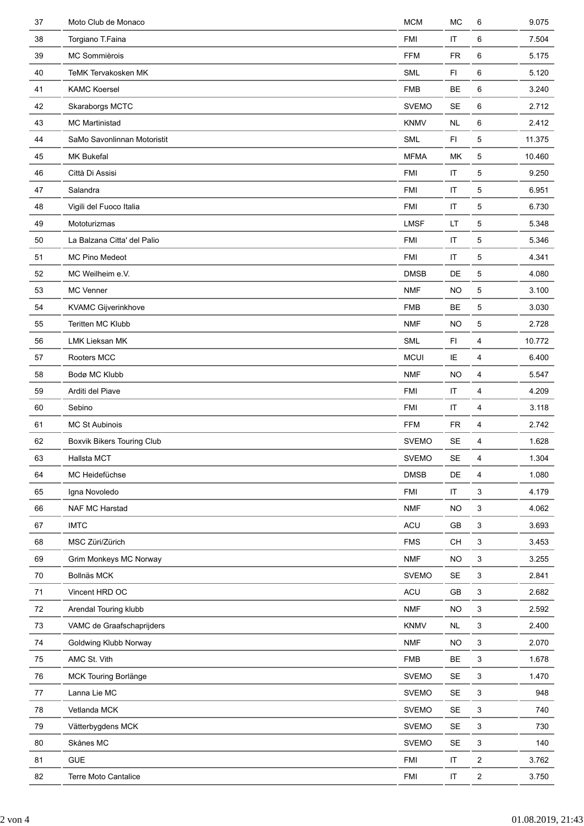| 37   | Moto Club de Monaco         | <b>MCM</b>   | MC                     | 6              | 9.075  |
|------|-----------------------------|--------------|------------------------|----------------|--------|
| 38   | Torgiano T.Faina            | <b>FMI</b>   | $\mathsf{I}\mathsf{T}$ | 6              | 7.504  |
| 39   | MC Sommièrois               | <b>FFM</b>   | <b>FR</b>              | 6              | 5.175  |
| 40   | TeMK Tervakosken MK         | <b>SML</b>   | F1                     | 6              | 5.120  |
| 41   | <b>KAMC Koersel</b>         | <b>FMB</b>   | BE                     | 6              | 3.240  |
| 42   | Skaraborgs MCTC             | <b>SVEMO</b> | <b>SE</b>              | 6              | 2.712  |
| 43   | <b>MC Martinistad</b>       | <b>KNMV</b>  | <b>NL</b>              | 6              | 2.412  |
| 44   | SaMo Savonlinnan Motoristit | <b>SML</b>   | FI.                    | 5              | 11.375 |
| 45   | MK Bukefal                  | <b>MFMA</b>  | МK                     | 5              | 10.460 |
| 46   | Città Di Assisi             | <b>FMI</b>   | $\sf IT$               | 5              | 9.250  |
| 47   | Salandra                    | <b>FMI</b>   | $\sf IT$               | 5              | 6.951  |
| 48   | Vigili del Fuoco Italia     | <b>FMI</b>   | $\sf IT$               | 5              | 6.730  |
| 49   | Mototurizmas                | <b>LMSF</b>  | LT                     | 5              | 5.348  |
| 50   | La Balzana Citta' del Palio | <b>FMI</b>   | $\sf IT$               | 5              | 5.346  |
| 51   | <b>MC Pino Medeot</b>       | <b>FMI</b>   | IT                     | 5              | 4.341  |
| 52   | MC Weilheim e.V.            | <b>DMSB</b>  | DE                     | 5              | 4.080  |
| 53   | <b>MC Venner</b>            | <b>NMF</b>   | <b>NO</b>              | 5              | 3.100  |
| 54   | KVAMC Gijverinkhove         | <b>FMB</b>   | <b>BE</b>              | 5              | 3.030  |
| 55   | Teritten MC Klubb           | <b>NMF</b>   | <b>NO</b>              | 5              | 2.728  |
| 56   | <b>LMK Lieksan MK</b>       | <b>SML</b>   | FI                     | 4              | 10.772 |
| 57   | Rooters MCC                 | <b>MCUI</b>  | IE                     | 4              | 6.400  |
| 58   | Bodø MC Klubb               | <b>NMF</b>   | <b>NO</b>              | 4              | 5.547  |
| 59   | Arditi del Piave            | <b>FMI</b>   | $\sf IT$               | 4              | 4.209  |
| 60   | Sebino                      | <b>FMI</b>   | $\sf IT$               | 4              | 3.118  |
| 61   | <b>MC St Aubinois</b>       | <b>FFM</b>   | <b>FR</b>              | 4              | 2.742  |
| 62   | Boxvik Bikers Touring Club  | <b>SVEMO</b> | SE                     | 4              | 1.628  |
| 63   | Hallsta MCT                 | <b>SVEMO</b> | SE                     | 4              | 1.304  |
| 64   | MC Heidefüchse              | <b>DMSB</b>  | DE                     | 4              | 1.080  |
| 65   | Igna Novoledo               | <b>FMI</b>   | IT                     | 3              | 4.179  |
| 66   | NAF MC Harstad              | <b>NMF</b>   | <b>NO</b>              | 3              | 4.062  |
| 67   | <b>IMTC</b>                 | ACU          | GB                     | 3              | 3.693  |
| 68   | MSC Züri/Zürich             | <b>FMS</b>   | CH                     | 3              | 3.453  |
| 69   | Grim Monkeys MC Norway      | <b>NMF</b>   | NO                     | 3              | 3.255  |
| 70   | Bollnäs MCK                 | <b>SVEMO</b> | SE                     | 3              | 2.841  |
| 71   | Vincent HRD OC              | ACU          | GB                     | 3              | 2.682  |
| 72   | Arendal Touring klubb       | <b>NMF</b>   | <b>NO</b>              | 3              | 2.592  |
| 73   | VAMC de Graafschaprijders   | <b>KNMV</b>  | <b>NL</b>              | 3              | 2.400  |
| 74   | Goldwing Klubb Norway       | <b>NMF</b>   | <b>NO</b>              | 3              | 2.070  |
| 75   | AMC St. Vith                | <b>FMB</b>   | BE                     | 3              | 1.678  |
| 76   | MCK Touring Borlänge        | <b>SVEMO</b> | <b>SE</b>              | 3              | 1.470  |
| $77$ | Lanna Lie MC                | <b>SVEMO</b> | <b>SE</b>              | 3              | 948    |
| 78   | Vetlanda MCK                | <b>SVEMO</b> | <b>SE</b>              | 3              | 740    |
| 79   | Vätterbygdens MCK           | <b>SVEMO</b> | $\sf SE$               | 3              | 730    |
| 80   | Skånes MC                   | <b>SVEMO</b> | $\sf SE$               | 3              | 140    |
| 81   | <b>GUE</b>                  | <b>FMI</b>   | IT                     | $\overline{c}$ | 3.762  |
| 82   | Terre Moto Cantalice        | FMI          | $\sf IT$               | 2              | 3.750  |
|      |                             |              |                        |                |        |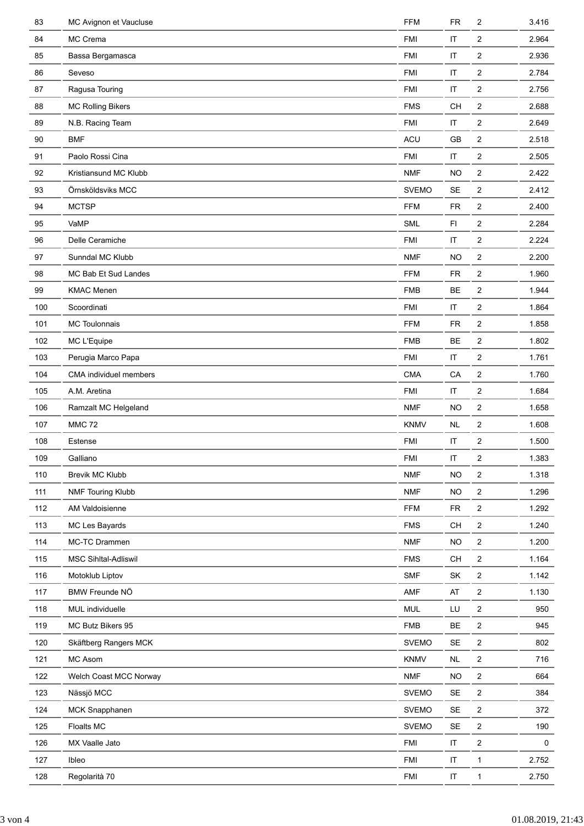| 83  | MC Avignon et Vaucluse      | <b>FFM</b>   | <b>FR</b>              | 2                       | 3.416 |
|-----|-----------------------------|--------------|------------------------|-------------------------|-------|
| 84  | MC Crema                    | <b>FMI</b>   | $\mathsf{I}\mathsf{T}$ | $\overline{c}$          | 2.964 |
| 85  | Bassa Bergamasca            | <b>FMI</b>   | $\mathsf{I}\mathsf{T}$ | 2                       | 2.936 |
| 86  | Seveso                      | <b>FMI</b>   | $\sf IT$               | 2                       | 2.784 |
| 87  | Ragusa Touring              | <b>FMI</b>   | $\sf IT$               | 2                       | 2.756 |
| 88  | <b>MC Rolling Bikers</b>    | <b>FMS</b>   | CH                     | 2                       | 2.688 |
| 89  | N.B. Racing Team            | <b>FMI</b>   | $\sf IT$               | 2                       | 2.649 |
| 90  | <b>BMF</b>                  | ACU          | GB                     | 2                       | 2.518 |
| 91  | Paolo Rossi Cina            | <b>FMI</b>   | $\sf IT$               | 2                       | 2.505 |
| 92  | Kristiansund MC Klubb       | <b>NMF</b>   | <b>NO</b>              | 2                       | 2.422 |
| 93  | Örnsköldsviks MCC           | <b>SVEMO</b> | <b>SE</b>              | 2                       | 2.412 |
| 94  | <b>MCTSP</b>                | <b>FFM</b>   | <b>FR</b>              | 2                       | 2.400 |
| 95  | VaMP                        | <b>SML</b>   | F1                     | 2                       | 2.284 |
| 96  | Delle Ceramiche             | <b>FMI</b>   | $\sf IT$               | 2                       | 2.224 |
| 97  | Sunndal MC Klubb            | <b>NMF</b>   | <b>NO</b>              | 2                       | 2.200 |
| 98  | MC Bab Et Sud Landes        | <b>FFM</b>   | <b>FR</b>              | 2                       | 1.960 |
| 99  | <b>KMAC Menen</b>           | <b>FMB</b>   | BE                     | $\overline{\mathbf{c}}$ | 1.944 |
| 100 | Scoordinati                 | <b>FMI</b>   | $\sf IT$               | 2                       | 1.864 |
| 101 | MC Toulonnais               | <b>FFM</b>   | <b>FR</b>              | 2                       | 1.858 |
| 102 | MC L'Equipe                 | <b>FMB</b>   | <b>BE</b>              | 2                       | 1.802 |
| 103 | Perugia Marco Papa          | <b>FMI</b>   | $\sf IT$               | 2                       | 1.761 |
| 104 | CMA individuel members      | <b>CMA</b>   | CA                     | 2                       | 1.760 |
| 105 | A.M. Aretina                | <b>FMI</b>   | $\sf IT$               | 2                       | 1.684 |
| 106 | Ramzalt MC Helgeland        | <b>NMF</b>   | <b>NO</b>              | $\overline{\mathbf{c}}$ | 1.658 |
| 107 | <b>MMC 72</b>               | <b>KNMV</b>  | <b>NL</b>              | 2                       | 1.608 |
| 108 | Estense                     | <b>FMI</b>   | $\sf IT$               | 2                       | 1.500 |
| 109 | Galliano                    | FMI          | IT                     | 2                       | 1.383 |
| 110 | Brevik MC Klubb             | <b>NMF</b>   | <b>NO</b>              | 2                       | 1.318 |
| 111 | <b>NMF Touring Klubb</b>    | <b>NMF</b>   | <b>NO</b>              | $\overline{\mathbf{c}}$ | 1.296 |
| 112 | AM Valdoisienne             | <b>FFM</b>   | <b>FR</b>              | $\overline{\mathbf{c}}$ | 1.292 |
| 113 | MC Les Bayards              | <b>FMS</b>   | CH                     | $\overline{c}$          | 1.240 |
| 114 | MC-TC Drammen               | <b>NMF</b>   | <b>NO</b>              | $\overline{\mathbf{c}}$ | 1.200 |
| 115 | <b>MSC Sihltal-Adliswil</b> | <b>FMS</b>   | <b>CH</b>              | 2                       | 1.164 |
| 116 | Motoklub Liptov             | <b>SMF</b>   | SK                     | 2                       | 1.142 |
| 117 | BMW Freunde NÖ              | AMF          | AT                     | 2                       | 1.130 |
| 118 | MUL individuelle            | <b>MUL</b>   | LU                     | $\overline{c}$          | 950   |
| 119 | MC Butz Bikers 95           | <b>FMB</b>   | BE                     | $\overline{\mathbf{c}}$ | 945   |
| 120 | Skäftberg Rangers MCK       | <b>SVEMO</b> | <b>SE</b>              | $\overline{c}$          | 802   |
| 121 | MC Asom                     | <b>KNMV</b>  | <b>NL</b>              | $\overline{\mathbf{c}}$ | 716   |
| 122 | Welch Coast MCC Norway      | <b>NMF</b>   | NO.                    | 2                       | 664   |
| 123 | Nässjö MCC                  | <b>SVEMO</b> | <b>SE</b>              | $\overline{c}$          | 384   |
| 124 | <b>MCK Snapphanen</b>       | <b>SVEMO</b> | <b>SE</b>              | 2                       | 372   |
| 125 | Floalts MC                  | <b>SVEMO</b> | $\sf SE$               | 2                       | 190   |
| 126 | MX Vaalle Jato              | <b>FMI</b>   | $\sf IT$               | $\overline{\mathbf{c}}$ | 0     |
| 127 | Ibleo                       | <b>FMI</b>   | $\sf IT$               | $\mathbf{1}$            | 2.752 |
| 128 | Regolarità 70               | FMI          | $\sf IT$               | $\mathbf{1}$            | 2.750 |
|     |                             |              |                        |                         |       |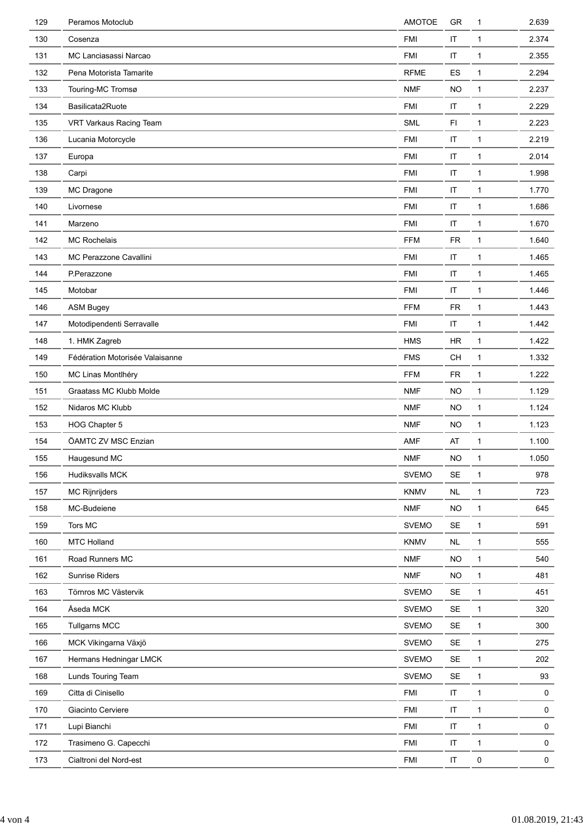| 129 | Peramos Motoclub                | AMOTOE       | GR                     | 1            | 2.639        |
|-----|---------------------------------|--------------|------------------------|--------------|--------------|
| 130 | Cosenza                         | <b>FMI</b>   | IT                     | $\mathbf{1}$ | 2.374        |
| 131 | MC Lanciasassi Narcao           | <b>FMI</b>   | $\sf IT$               | $\mathbf{1}$ | 2.355        |
| 132 | Pena Motorista Tamarite         | <b>RFME</b>  | ES                     | $\mathbf{1}$ | 2.294        |
| 133 | Touring-MC Tromsø               | <b>NMF</b>   | <b>NO</b>              | $\mathbf{1}$ | 2.237        |
| 134 | Basilicata2Ruote                | <b>FMI</b>   | $\sf IT$               | $\mathbf{1}$ | 2.229        |
| 135 | VRT Varkaus Racing Team         | <b>SML</b>   | FI.                    | 1            | 2.223        |
| 136 | Lucania Motorcycle              | <b>FMI</b>   | $\sf IT$               | $\mathbf{1}$ | 2.219        |
| 137 | Europa                          | <b>FMI</b>   | $\mathsf{I}\mathsf{T}$ | $\mathbf{1}$ | 2.014        |
| 138 | Carpi                           | <b>FMI</b>   | $\mathsf{I}\mathsf{T}$ | $\mathbf{1}$ | 1.998        |
| 139 | MC Dragone                      | <b>FMI</b>   | $\sf IT$               | $\mathbf{1}$ | 1.770        |
| 140 | Livornese                       | <b>FMI</b>   | $\sf IT$               | $\mathbf{1}$ | 1.686        |
| 141 | Marzeno                         | <b>FMI</b>   | $\sf IT$               | 1            | 1.670        |
| 142 | <b>MC Rochelais</b>             | <b>FFM</b>   | <b>FR</b>              | $\mathbf{1}$ | 1.640        |
| 143 | MC Perazzone Cavallini          | <b>FMI</b>   | $\mathsf{I}\mathsf{T}$ | $\mathbf{1}$ | 1.465        |
| 144 | P.Perazzone                     | <b>FMI</b>   | $\sf IT$               | $\mathbf{1}$ | 1.465        |
| 145 | Motobar                         | <b>FMI</b>   | $\sf IT$               | $\mathbf{1}$ | 1.446        |
| 146 | <b>ASM Bugey</b>                | <b>FFM</b>   | <b>FR</b>              | $\mathbf{1}$ | 1.443        |
| 147 | Motodipendenti Serravalle       | <b>FMI</b>   | IT                     | $\mathbf{1}$ | 1.442        |
| 148 | 1. HMK Zagreb                   | <b>HMS</b>   | HR                     | $\mathbf{1}$ | 1.422        |
| 149 | Fédération Motorisée Valaisanne | <b>FMS</b>   | CH                     | $\mathbf{1}$ | 1.332        |
| 150 | MC Linas Montlhéry              | <b>FFM</b>   | FR                     | $\mathbf{1}$ | 1.222        |
| 151 | Graatass MC Klubb Molde         | <b>NMF</b>   | <b>NO</b>              | $\mathbf{1}$ | 1.129        |
| 152 | Nidaros MC Klubb                | <b>NMF</b>   | <b>NO</b>              | $\mathbf{1}$ | 1.124        |
| 153 | HOG Chapter 5                   | <b>NMF</b>   | <b>NO</b>              | 1            | 1.123        |
| 154 | ÖAMTC ZV MSC Enzian             | AMF          | AT                     | 1            | 1.100        |
| 155 | Haugesund MC                    | <b>NMF</b>   | NO                     | 1            | 1.050        |
| 156 | Hudiksvalls MCK                 | <b>SVEMO</b> | <b>SE</b>              | 1            | 978          |
| 157 | <b>MC Rijnrijders</b>           | <b>KNMV</b>  | <b>NL</b>              | 1            | 723          |
| 158 | MC-Budeiene                     | <b>NMF</b>   | <b>NO</b>              | $\mathbf{1}$ | 645          |
| 159 | Tors MC                         | <b>SVEMO</b> | $\mathsf{SE}\xspace$   | $\mathbf{1}$ | 591          |
| 160 | <b>MTC Holland</b>              | <b>KNMV</b>  | <b>NL</b>              | 1            | 555          |
| 161 | Road Runners MC                 | <b>NMF</b>   | <b>NO</b>              | $\mathbf{1}$ | 540          |
| 162 | Sunrise Riders                  | <b>NMF</b>   | NO.                    | $\mathbf{1}$ | 481          |
| 163 | Törnros MC Västervik            | <b>SVEMO</b> | SE                     | $\mathbf{1}$ | 451          |
| 164 | Åseda MCK                       | <b>SVEMO</b> | SE                     | $\mathbf{1}$ | 320          |
| 165 | <b>Tullgarns MCC</b>            | <b>SVEMO</b> | $\sf SE$               | $\mathbf{1}$ | 300          |
| 166 | MCK Vikingarna Växjö            | <b>SVEMO</b> | SE                     | $\mathbf{1}$ | 275          |
| 167 | Hermans Hedningar LMCK          | <b>SVEMO</b> | SE                     | $\mathbf{1}$ | 202          |
| 168 | Lunds Touring Team              | <b>SVEMO</b> | <b>SE</b>              | $\mathbf{1}$ | 93           |
| 169 | Citta di Cinisello              | <b>FMI</b>   | $\sf IT$               | $\mathbf{1}$ | $\mathbf 0$  |
| 170 | Giacinto Cerviere               | <b>FMI</b>   | $\sf IT$               | $\mathbf{1}$ | $\mathsf{O}$ |
| 171 | Lupi Bianchi                    | <b>FMI</b>   | $\sf IT$               | $\mathbf{1}$ | 0            |
| 172 | Trasimeno G. Capecchi           | <b>FMI</b>   | $\sf IT$               | $\mathbf{1}$ | 0            |
| 173 | Cialtroni del Nord-est          | <b>FMI</b>   | $\sf IT$               | 0            | 0            |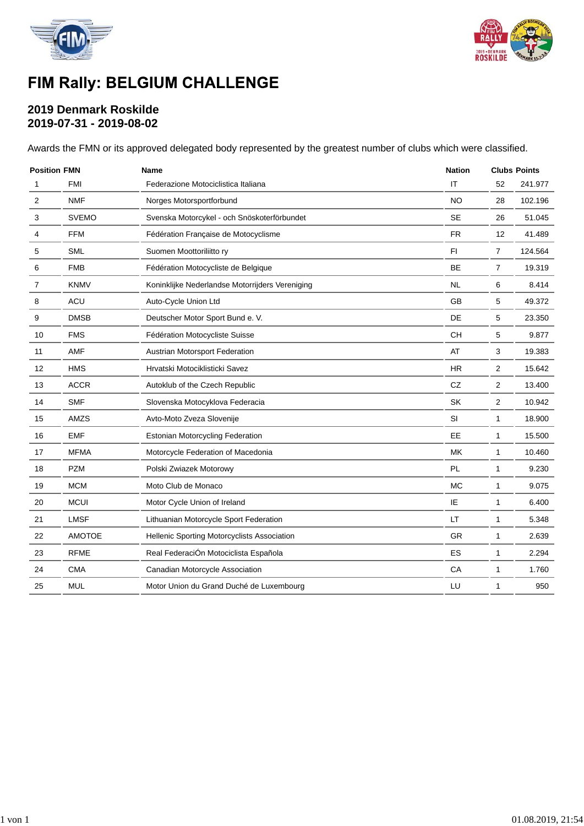



# FIM Rally: BELGIUM CHALLENGE

### **2019 Denmark Roskilde 2019-07-31 - 2019-08-02**

Awards the FMN or its approved delegated body represented by the greatest number of clubs which were classified.

| <b>Position FMN</b> |               | <b>Name</b>                                     | <b>Nation</b>          | <b>Clubs Points</b> |         |
|---------------------|---------------|-------------------------------------------------|------------------------|---------------------|---------|
| 1                   | <b>FMI</b>    | Federazione Motociclistica Italiana             | $\mathsf{I}\mathsf{T}$ | 52                  | 241.977 |
| $\overline{2}$      | <b>NMF</b>    | Norges Motorsportforbund                        | <b>NO</b>              | 28                  | 102.196 |
| 3                   | <b>SVEMO</b>  | Svenska Motorcykel - och Snöskoterförbundet     | <b>SE</b>              | 26                  | 51.045  |
| 4                   | <b>FFM</b>    | Fédération Française de Motocyclisme            | <b>FR</b>              | 12                  | 41.489  |
| 5                   | <b>SML</b>    | Suomen Moottoriliitto ry                        | FI.                    | $\overline{7}$      | 124.564 |
| 6                   | <b>FMB</b>    | Fédération Motocycliste de Belgique             | <b>BE</b>              | $\overline{7}$      | 19.319  |
| 7                   | <b>KNMV</b>   | Koninklijke Nederlandse Motorrijders Vereniging | <b>NL</b>              | 6                   | 8.414   |
| 8                   | ACU           | Auto-Cycle Union Ltd                            | <b>GB</b>              | 5                   | 49.372  |
| 9                   | <b>DMSB</b>   | Deutscher Motor Sport Bund e. V.                | DE                     | 5                   | 23.350  |
| 10                  | <b>FMS</b>    | Fédération Motocycliste Suisse                  | CH                     | 5                   | 9.877   |
| 11                  | AMF           | Austrian Motorsport Federation                  | AT                     | 3                   | 19.383  |
| 12                  | <b>HMS</b>    | Hrvatski Motociklisticki Savez                  | <b>HR</b>              | 2                   | 15.642  |
| 13                  | <b>ACCR</b>   | Autoklub of the Czech Republic                  | CZ                     | 2                   | 13.400  |
| 14                  | <b>SMF</b>    | Slovenska Motocyklova Federacia                 | SK                     | 2                   | 10.942  |
| 15                  | AMZS          | Avto-Moto Zveza Slovenije                       | <b>SI</b>              | $\mathbf{1}$        | 18.900  |
| 16                  | <b>EMF</b>    | <b>Estonian Motorcycling Federation</b>         | <b>EE</b>              | $\mathbf{1}$        | 15.500  |
| 17                  | <b>MFMA</b>   | Motorcycle Federation of Macedonia              | MK                     | 1                   | 10.460  |
| 18                  | <b>PZM</b>    | Polski Zwiazek Motorowy                         | PL                     | 1                   | 9.230   |
| 19                  | <b>MCM</b>    | Moto Club de Monaco                             | <b>MC</b>              | $\mathbf{1}$        | 9.075   |
| 20                  | <b>MCUI</b>   | Motor Cycle Union of Ireland                    | IE                     | $\mathbf{1}$        | 6.400   |
| 21                  | <b>LMSF</b>   | Lithuanian Motorcycle Sport Federation          | LT                     | $\mathbf{1}$        | 5.348   |
| 22                  | <b>AMOTOE</b> | Hellenic Sporting Motorcyclists Association     | <b>GR</b>              | $\mathbf{1}$        | 2.639   |
| 23                  | <b>RFME</b>   | Real FederaciÓn Motociclista Española           | ES                     | 1                   | 2.294   |
| 24                  | <b>CMA</b>    | Canadian Motorcycle Association                 | CA                     | $\mathbf 1$         | 1.760   |
| 25                  | <b>MUL</b>    | Motor Union du Grand Duché de Luxembourg        | LU                     | 1                   | 950     |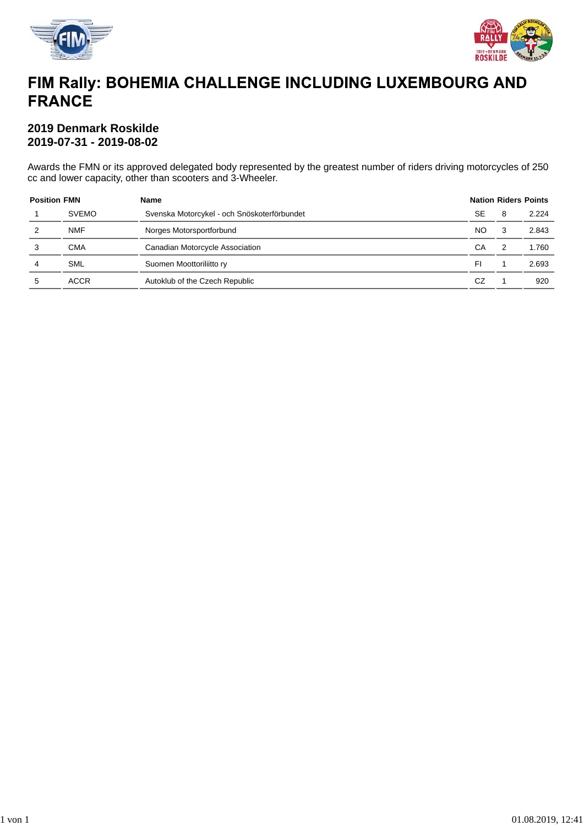



# FIM Rally: BOHEMIA CHALLENGE INCLUDING LUXEMBOURG AND **FRANCE**

#### **2019 Denmark Roskilde 2019-07-31 - 2019-08-02**

Awards the FMN or its approved delegated body represented by the greatest number of riders driving motorcycles of 250 cc and lower capacity, other than scooters and 3-Wheeler.

| <b>Position FMN</b> |              | Name                                        |           | <b>Nation Riders Points</b> |       |  |  |
|---------------------|--------------|---------------------------------------------|-----------|-----------------------------|-------|--|--|
|                     | <b>SVEMO</b> | Svenska Motorcykel - och Snöskoterförbundet | <b>SE</b> | 8                           | 2.224 |  |  |
| 2                   | <b>NMF</b>   | Norges Motorsportforbund                    |           |                             | 2.843 |  |  |
|                     | <b>CMA</b>   | Canadian Motorcycle Association             | СA        |                             | 1.760 |  |  |
| 4                   | <b>SML</b>   | Suomen Moottoriliitto ry                    | FI        |                             | 2.693 |  |  |
| 5                   | <b>ACCR</b>  | Autoklub of the Czech Republic              | CZ        |                             | 920   |  |  |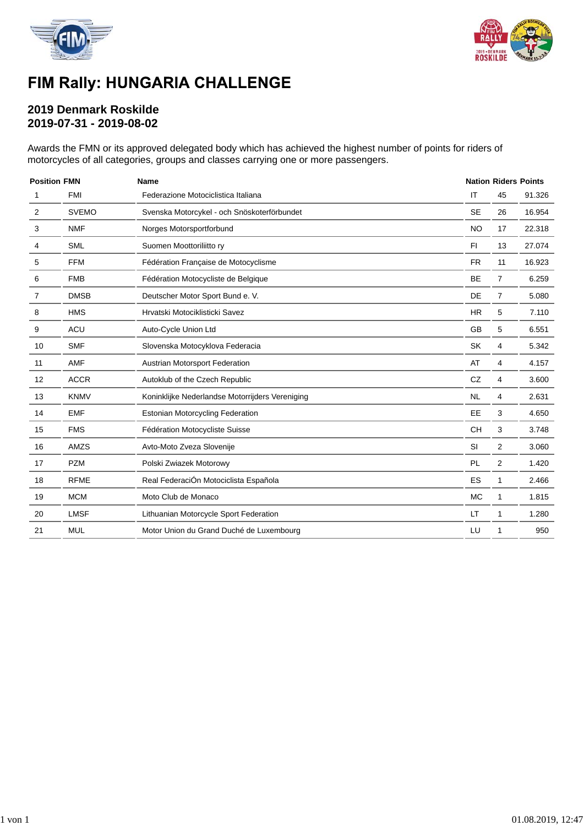



# FIM Rally: HUNGARIA CHALLENGE

### **2019 Denmark Roskilde 2019-07-31 - 2019-08-02**

Awards the FMN or its approved delegated body which has achieved the highest number of points for riders of motorcycles of all categories, groups and classes carrying one or more passengers.

| <b>Position FMN</b> |              | <b>Name</b>                                     |           | <b>Nation Riders Points</b> |        |  |  |
|---------------------|--------------|-------------------------------------------------|-----------|-----------------------------|--------|--|--|
| <b>FMI</b><br>1     |              | Federazione Motociclistica Italiana             | IT        | 45                          | 91.326 |  |  |
| $\overline{2}$      | <b>SVEMO</b> | Svenska Motorcykel - och Snöskoterförbundet     | <b>SE</b> | 26                          | 16.954 |  |  |
| 3                   | <b>NMF</b>   | Norges Motorsportforbund                        | <b>NO</b> | 17                          | 22.318 |  |  |
| 4                   | <b>SML</b>   | Suomen Moottoriliitto ry                        | FI.       | 13                          | 27.074 |  |  |
| 5                   | <b>FFM</b>   | Fédération Française de Motocyclisme            | <b>FR</b> | 11                          | 16.923 |  |  |
| 6                   | <b>FMB</b>   | Fédération Motocycliste de Belgique             | <b>BE</b> | $\overline{7}$              | 6.259  |  |  |
| 7                   | <b>DMSB</b>  | Deutscher Motor Sport Bund e. V.                | DE        | $\overline{7}$              | 5.080  |  |  |
| 8                   | <b>HMS</b>   | Hrvatski Motociklisticki Savez                  | <b>HR</b> | 5                           | 7.110  |  |  |
| 9                   | <b>ACU</b>   | Auto-Cycle Union Ltd                            | <b>GB</b> | 5                           | 6.551  |  |  |
| 10                  | <b>SMF</b>   | Slovenska Motocyklova Federacia                 | SK        | 4                           | 5.342  |  |  |
| 11                  | AMF          | Austrian Motorsport Federation                  | AT        | 4                           | 4.157  |  |  |
| 12                  | <b>ACCR</b>  | Autoklub of the Czech Republic                  | CZ        | 4                           | 3.600  |  |  |
| 13                  | <b>KNMV</b>  | Koninklijke Nederlandse Motorrijders Vereniging | <b>NL</b> | 4                           | 2.631  |  |  |
| 14                  | <b>EMF</b>   | <b>Estonian Motorcycling Federation</b>         | EE        | 3                           | 4.650  |  |  |
| 15                  | <b>FMS</b>   | Fédération Motocycliste Suisse                  | <b>CH</b> | 3                           | 3.748  |  |  |
| 16                  | AMZS         | Avto-Moto Zveza Slovenije                       | SI        | 2                           | 3.060  |  |  |
| 17                  | <b>PZM</b>   | Polski Zwiazek Motorowy                         | PL        | 2                           | 1.420  |  |  |
| 18                  | <b>RFME</b>  | Real FederaciÓn Motociclista Española           | ES        | 1                           | 2.466  |  |  |
| 19                  | <b>MCM</b>   | Moto Club de Monaco                             | <b>MC</b> | 1                           | 1.815  |  |  |
| 20                  | <b>LMSF</b>  | Lithuanian Motorcycle Sport Federation          | LT        | 1                           | 1.280  |  |  |
| 21                  | <b>MUL</b>   | Motor Union du Grand Duché de Luxembourg        | LU        | 1                           | 950    |  |  |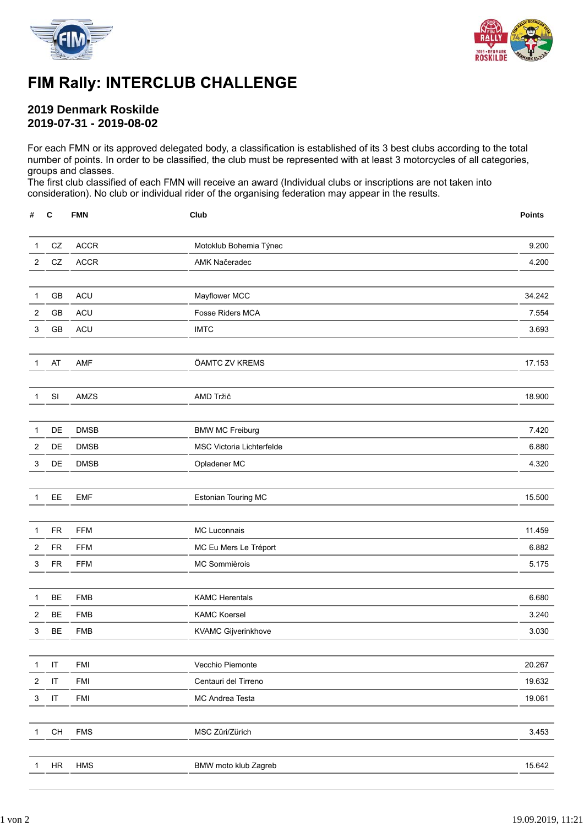



### FIM Rally: INTERCLUB CHALLENGE

### **2019 Denmark Roskilde 2019-07-31 - 2019-08-02**

For each FMN or its approved delegated body, a classification is established of its 3 best clubs according to the total number of points. In order to be classified, the club must be represented with at least 3 motorcycles of all categories, groups and classes.

The first club classified of each FMN will receive an award (Individual clubs or inscriptions are not taken into consideration). No club or individual rider of the organising federation may appear in the results.

| #              | $\mathbf c$                                           | <b>FMN</b>  | Club                      | <b>Points</b> |
|----------------|-------------------------------------------------------|-------------|---------------------------|---------------|
| 1              | ${\sf CZ}$                                            | <b>ACCR</b> | Motoklub Bohemia Týnec    | 9.200         |
| $\overline{c}$ | ${\tt CZ}$                                            | ACCR        | AMK Načeradec             | 4.200         |
| $\mathbf{1}$   | $\mathsf{GB}$                                         | <b>ACU</b>  | Mayflower MCC             | 34.242        |
| $\mathbf{2}$   | GB                                                    | <b>ACU</b>  | Fosse Riders MCA          | 7.554         |
| 3              | GB                                                    | <b>ACU</b>  | <b>IMTC</b>               | 3.693         |
| 1              | AT                                                    | AMF         | ÖAMTC ZV KREMS            | 17.153        |
| 1              | SI                                                    | AMZS        | AMD Tržič                 | 18.900        |
|                |                                                       |             |                           |               |
| $\mathbf 1$    | DE                                                    | <b>DMSB</b> | <b>BMW MC Freiburg</b>    | 7.420         |
| $\overline{c}$ | DE                                                    | <b>DMSB</b> | MSC Victoria Lichterfelde | 6.880         |
| 3              | DE                                                    | <b>DMSB</b> | Opladener MC              | 4.320         |
| 1              | EE                                                    | <b>EMF</b>  | Estonian Touring MC       | 15.500        |
|                |                                                       |             |                           |               |
| $\mathbf{1}$   | ${\sf FR}$                                            | <b>FFM</b>  | MC Luconnais              | 11.459        |
| $\overline{2}$ | <b>FR</b>                                             | <b>FFM</b>  | MC Eu Mers Le Tréport     | 6.882         |
| 3              | <b>FR</b>                                             | <b>FFM</b>  | MC Sommièrois             | 5.175         |
| 1              | BE                                                    | <b>FMB</b>  | <b>KAMC Herentals</b>     | 6.680         |
| $\overline{2}$ | <b>BE</b>                                             | <b>FMB</b>  | <b>KAMC Koersel</b>       | 3.240         |
| 3              | BE                                                    | <b>FMB</b>  | KVAMC Gijverinkhove       | 3.030         |
| $\mathbf{1}$   | $\mathsf{I}\mathsf{T}$                                | <b>FMI</b>  | Vecchio Piemonte          | 20.267        |
| $\overline{c}$ | $\sf IT$                                              | FMI         | Centauri del Tirreno      | 19.632        |
| 3              | $\sf IT$                                              | FMI         | MC Andrea Testa           | 19.061        |
| 1              | $\mathsf{CH}% _{\mathsf{C}}^{\mathsf{C}}(\mathsf{C})$ | ${\sf FMS}$ | MSC Züri/Zürich           | 3.453         |
|                |                                                       |             |                           |               |
| 1              | $\sf HR$                                              | HMS         | BMW moto klub Zagreb      | 15.642        |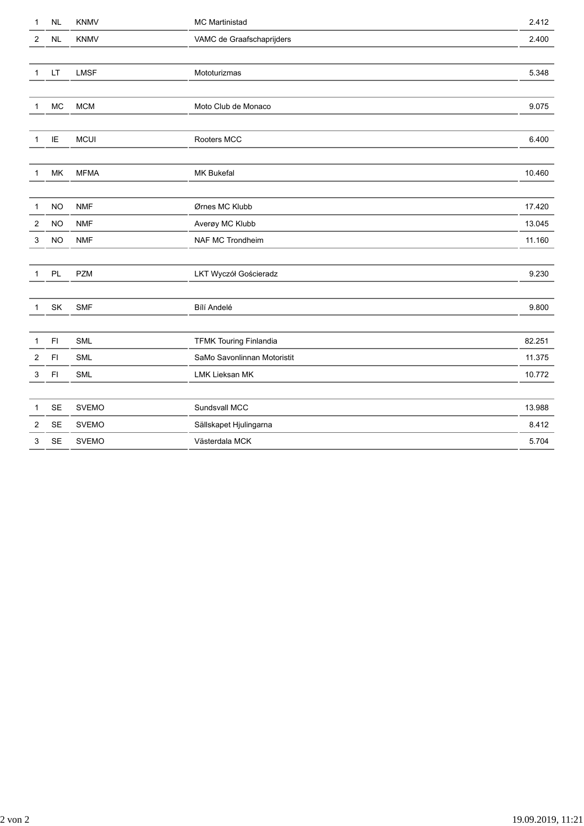| 1              | <b>NL</b>               | <b>KNMV</b>  | MC Martinistad                | 2.412  |
|----------------|-------------------------|--------------|-------------------------------|--------|
| $\overline{2}$ | NL                      | <b>KNMV</b>  | VAMC de Graafschaprijders     | 2.400  |
|                |                         |              |                               |        |
| $\mathbf{1}$   | LT                      | <b>LMSF</b>  | Mototurizmas                  | 5.348  |
|                |                         |              |                               |        |
| 1              | $MC$                    | <b>MCM</b>   | Moto Club de Monaco           | 9.075  |
|                |                         |              |                               |        |
| 1              | $\sf I\sf E$            | <b>MCUI</b>  | Rooters MCC                   | 6.400  |
|                |                         |              |                               |        |
| 1              | ${\sf MK}$              | <b>MFMA</b>  | MK Bukefal                    | 10.460 |
|                |                         |              |                               |        |
| 1              | <b>NO</b>               | <b>NMF</b>   | Ørnes MC Klubb                | 17.420 |
| 2              | <b>NO</b>               | <b>NMF</b>   | Averøy MC Klubb               | 13.045 |
| 3              | <b>NO</b>               | <b>NMF</b>   | NAF MC Trondheim              | 11.160 |
|                |                         |              |                               |        |
| $\mathbf{1}$   | PL                      | <b>PZM</b>   | LKT Wyczół Gościeradz         | 9.230  |
|                |                         |              |                               |        |
| 1              | SK                      | <b>SMF</b>   | Bílí Andelé                   | 9.800  |
|                |                         |              |                               |        |
| 1              | $\mathsf{F} \mathsf{I}$ | SML          | <b>TFMK Touring Finlandia</b> | 82.251 |
| 2              | F <sub>1</sub>          | <b>SML</b>   | SaMo Savonlinnan Motoristit   | 11.375 |
| 3              | $\mathsf{F} \mathsf{I}$ | SML          | LMK Lieksan MK                | 10.772 |
|                |                         |              |                               |        |
| 1              | SE                      | <b>SVEMO</b> | Sundsvall MCC                 | 13.988 |
| $\overline{2}$ | <b>SE</b>               | <b>SVEMO</b> | Sällskapet Hjulingarna        | 8.412  |
| 3              | <b>SE</b>               | <b>SVEMO</b> | Västerdala MCK                | 5.704  |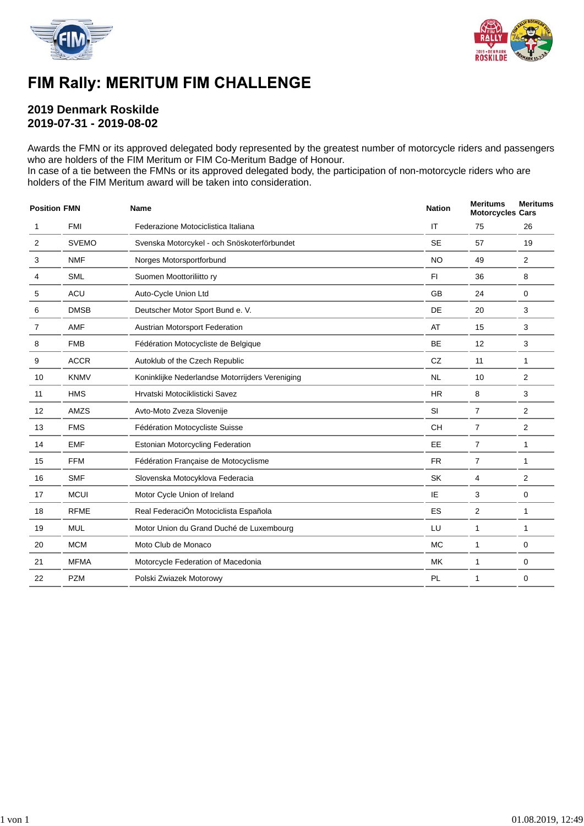



### FIM Rally: MERITUM FIM CHALLENGE

### **2019 Denmark Roskilde 2019-07-31 - 2019-08-02**

Awards the FMN or its approved delegated body represented by the greatest number of motorcycle riders and passengers who are holders of the FIM Meritum or FIM Co-Meritum Badge of Honour.

In case of a tie between the FMNs or its approved delegated body, the participation of non-motorcycle riders who are holders of the FIM Meritum award will be taken into consideration.

| <b>Position FMN</b> |              | <b>Name</b>                                     | <b>Nation</b> | <b>Meritums</b><br><b>Motorcycles Cars</b> | <b>Meritums</b> |
|---------------------|--------------|-------------------------------------------------|---------------|--------------------------------------------|-----------------|
| 1                   | <b>FMI</b>   | Federazione Motociclistica Italiana             | IT            | 75                                         | 26              |
| $\overline{2}$      | <b>SVEMO</b> | Svenska Motorcykel - och Snöskoterförbundet     | <b>SE</b>     | 57                                         | 19              |
| 3                   | <b>NMF</b>   | Norges Motorsportforbund                        | <b>NO</b>     | 49                                         | $\overline{2}$  |
| 4                   | <b>SML</b>   | Suomen Moottoriliitto ry                        | F1            | 36                                         | 8               |
| 5                   | ACU          | Auto-Cycle Union Ltd                            | GB            | 24                                         | 0               |
| 6                   | <b>DMSB</b>  | Deutscher Motor Sport Bund e. V.                | DE            | 20                                         | 3               |
| $\overline{7}$      | AMF          | Austrian Motorsport Federation                  | AT            | 15                                         | 3               |
| 8                   | <b>FMB</b>   | Fédération Motocycliste de Belgique             | BE            | 12                                         | 3               |
| 9                   | <b>ACCR</b>  | Autoklub of the Czech Republic                  | CZ            | 11                                         | 1               |
| 10                  | <b>KNMV</b>  | Koninklijke Nederlandse Motorrijders Vereniging | <b>NL</b>     | 10                                         | 2               |
| 11                  | <b>HMS</b>   | Hrvatski Motociklisticki Savez                  | <b>HR</b>     | 8                                          | 3               |
| 12                  | AMZS         | Avto-Moto Zveza Slovenije                       | SI            | $\overline{7}$                             | $\overline{2}$  |
| 13                  | <b>FMS</b>   | Fédération Motocycliste Suisse                  | CH            | $\overline{7}$                             | 2               |
| 14                  | <b>EMF</b>   | <b>Estonian Motorcycling Federation</b>         | <b>EE</b>     | $\overline{7}$                             | $\mathbf{1}$    |
| 15                  | <b>FFM</b>   | Fédération Française de Motocyclisme            | <b>FR</b>     | $\overline{7}$                             | 1               |
| 16                  | <b>SMF</b>   | Slovenska Motocyklova Federacia                 | SK            | 4                                          | 2               |
| 17                  | <b>MCUI</b>  | Motor Cycle Union of Ireland                    | IE            | 3                                          | 0               |
| 18                  | <b>RFME</b>  | Real FederaciÓn Motociclista Española           | ES            | 2                                          | $\mathbf{1}$    |
| 19                  | <b>MUL</b>   | Motor Union du Grand Duché de Luxembourg        | LU            | 1                                          | 1               |
| 20                  | <b>MCM</b>   | Moto Club de Monaco                             | <b>MC</b>     | $\mathbf{1}$                               | 0               |
| 21                  | <b>MFMA</b>  | Motorcycle Federation of Macedonia              | <b>MK</b>     | 1                                          | 0               |
| 22                  | <b>PZM</b>   | Polski Zwiazek Motorowy                         | PL            | 1                                          | 0               |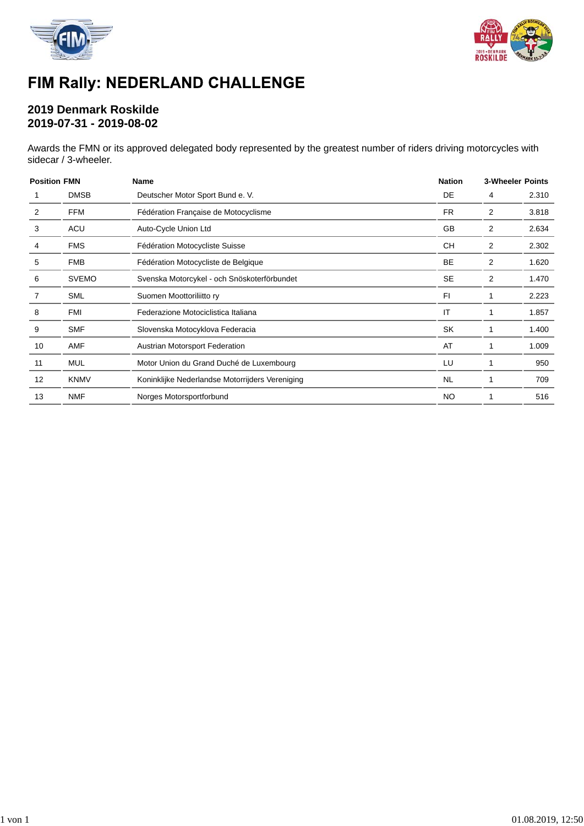



# FIM Rally: NEDERLAND CHALLENGE

### **2019 Denmark Roskilde 2019-07-31 - 2019-08-02**

Awards the FMN or its approved delegated body represented by the greatest number of riders driving motorcycles with sidecar / 3-wheeler.

| <b>Position FMN</b> |                                                             | <b>Name</b>                                     | <b>Nation</b>  | <b>3-Wheeler Points</b> |       |  |
|---------------------|-------------------------------------------------------------|-------------------------------------------------|----------------|-------------------------|-------|--|
|                     | <b>DMSB</b>                                                 | Deutscher Motor Sport Bund e. V.                | DE             | 4                       | 2.310 |  |
| 2                   | <b>FFM</b>                                                  | Fédération Française de Motocyclisme            | <b>FR</b>      | 2                       | 3.818 |  |
| 3                   | <b>ACU</b>                                                  | Auto-Cycle Union Ltd                            | GB             | 2                       | 2.634 |  |
|                     | <b>FMS</b>                                                  | Fédération Motocycliste Suisse                  | <b>CH</b>      | 2                       | 2.302 |  |
| 5                   | <b>FMB</b>                                                  | Fédération Motocycliste de Belgique             | BE             | 2                       | 1.620 |  |
| 6                   | <b>SVEMO</b><br>Svenska Motorcykel - och Snöskoterförbundet |                                                 | <b>SE</b>      | 2                       | 1.470 |  |
|                     | <b>SML</b>                                                  | Suomen Moottoriliitto ry                        | F <sub>1</sub> |                         | 2.223 |  |
| 8                   | <b>FMI</b>                                                  | Federazione Motociclistica Italiana             | IT             |                         | 1.857 |  |
| 9                   | <b>SMF</b>                                                  | Slovenska Motocyklova Federacia                 | <b>SK</b>      |                         | 1.400 |  |
| 10                  | AMF                                                         | Austrian Motorsport Federation                  | AT             |                         | 1.009 |  |
| 11                  | <b>MUL</b>                                                  | Motor Union du Grand Duché de Luxembourg        | LU             |                         | 950   |  |
| 12                  | <b>KNMV</b>                                                 | Koninklijke Nederlandse Motorrijders Vereniging | <b>NL</b>      |                         | 709   |  |
| 13                  | <b>NMF</b>                                                  | Norges Motorsportforbund                        | <b>NO</b>      |                         | 516   |  |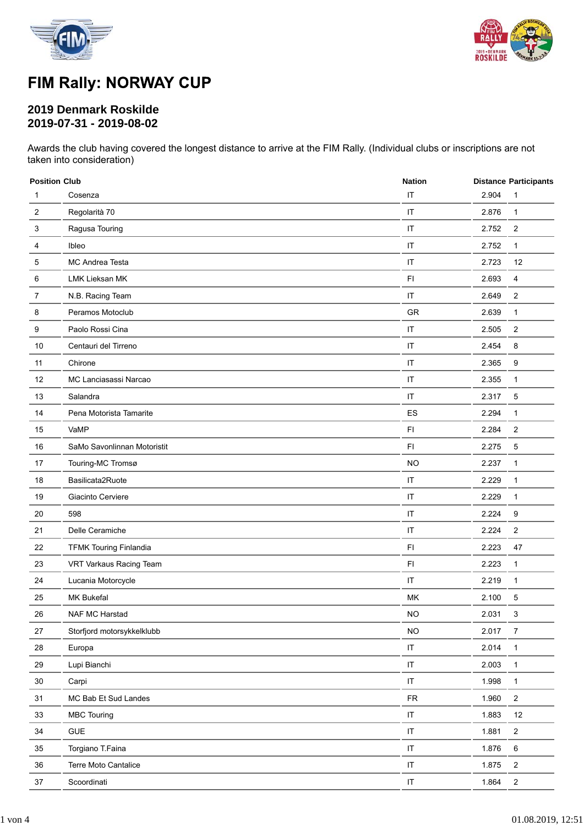



# FIM Rally: NORWAY CUP

### **2019 Denmark Roskilde 2019-07-31 - 2019-08-02**

Awards the club having covered the longest distance to arrive at the FIM Rally. (Individual clubs or inscriptions are not taken into consideration)

|        | <b>Position Club</b><br><b>Nation</b> |                        |       | <b>Distance Participants</b> |  |
|--------|---------------------------------------|------------------------|-------|------------------------------|--|
| 1      | Cosenza                               | IT                     | 2.904 | 1                            |  |
| 2      | Regolarità 70                         | $\mathsf{I}\mathsf{T}$ | 2.876 | $\mathbf{1}$                 |  |
| 3      | Ragusa Touring                        | $\mathsf{I}\mathsf{T}$ | 2.752 | 2                            |  |
| 4      | Ibleo                                 | $\mathsf{I}\mathsf{T}$ | 2.752 | $\mathbf{1}$                 |  |
| 5      | MC Andrea Testa                       | IT                     | 2.723 | 12                           |  |
| 6      | LMK Lieksan MK                        | $\mathsf{F}\mathsf{I}$ | 2.693 | 4                            |  |
| 7      | N.B. Racing Team                      | IT                     | 2.649 | $\overline{\mathbf{c}}$      |  |
| 8      | Peramos Motoclub                      | GR                     | 2.639 | $\mathbf{1}$                 |  |
| 9      | Paolo Rossi Cina                      | $\mathsf{I}\mathsf{T}$ | 2.505 | 2                            |  |
| 10     | Centauri del Tirreno                  | $\mathsf{I}\mathsf{T}$ | 2.454 | 8                            |  |
| 11     | Chirone                               | $\mathsf{I}\mathsf{T}$ | 2.365 | 9                            |  |
| 12     | MC Lanciasassi Narcao                 | IT                     | 2.355 | $\mathbf{1}$                 |  |
| 13     | Salandra                              | IT                     | 2.317 | 5                            |  |
| 14     | Pena Motorista Tamarite               | ES                     | 2.294 | $\mathbf{1}$                 |  |
| 15     | VaMP                                  | FI                     | 2.284 | $\overline{2}$               |  |
| 16     | SaMo Savonlinnan Motoristit           | F1                     | 2.275 | 5                            |  |
| 17     | Touring-MC Tromsø                     | <b>NO</b>              | 2.237 | 1                            |  |
| 18     | Basilicata2Ruote                      | IT                     | 2.229 | $\mathbf{1}$                 |  |
| 19     | Giacinto Cerviere                     | IT                     | 2.229 | $\mathbf{1}$                 |  |
| 20     | 598                                   | IT                     | 2.224 | 9                            |  |
| 21     | Delle Ceramiche                       | IT                     | 2.224 | $\overline{\mathbf{c}}$      |  |
| 22     | <b>TFMK Touring Finlandia</b>         | FI                     | 2.223 | 47                           |  |
| 23     | VRT Varkaus Racing Team               | FI                     | 2.223 | $\mathbf{1}$                 |  |
| 24     | Lucania Motorcycle                    | IT                     | 2.219 | $\mathbf{1}$                 |  |
| 25     | <b>MK Bukefal</b>                     | MK                     | 2.100 | 5                            |  |
| $26\,$ | NAF MC Harstad                        | <b>NO</b>              | 2.031 | 3                            |  |
| 27     | Storfjord motorsykkelklubb            | <b>NO</b>              | 2.017 | 7                            |  |
| 28     | Europa                                | IT                     | 2.014 | $\mathbf{1}$                 |  |
| 29     | Lupi Bianchi                          | $\sf IT$               | 2.003 | $\mathbf{1}$                 |  |
| $30\,$ | Carpi                                 | $\sf IT$               | 1.998 | $\mathbf{1}$                 |  |
| 31     | MC Bab Et Sud Landes                  | ${\sf FR}$             | 1.960 | $\boldsymbol{2}$             |  |
| 33     | <b>MBC Touring</b>                    | $\sf IT$               | 1.883 | $12\,$                       |  |
| 34     | <b>GUE</b>                            | $\sf IT$               | 1.881 | $\overline{2}$               |  |
| 35     | Torgiano T.Faina                      | $\sf IT$               | 1.876 | 6                            |  |
| 36     | Terre Moto Cantalice                  | $\sf IT$               | 1.875 | $\overline{c}$               |  |
| 37     | Scoordinati                           | $\sf IT$               | 1.864 | $\boldsymbol{2}$             |  |
|        |                                       |                        |       |                              |  |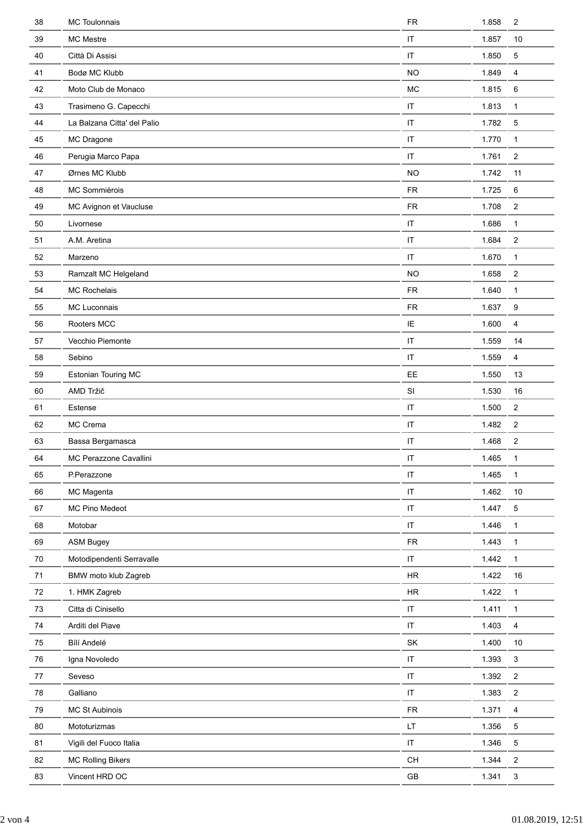| 38     | MC Toulonnais               | <b>FR</b>                                | 1.858 | $\overline{c}$            |
|--------|-----------------------------|------------------------------------------|-------|---------------------------|
| 39     | MC Mestre                   | IT                                       | 1.857 | 10                        |
| 40     | Città Di Assisi             | IT                                       | 1.850 | 5                         |
| 41     | Bodø MC Klubb               | <b>NO</b>                                | 1.849 | $\overline{4}$            |
| 42     | Moto Club de Monaco         | <b>MC</b>                                | 1.815 | 6                         |
| 43     | Trasimeno G. Capecchi       | IT                                       | 1.813 | $\mathbf{1}$              |
| 44     | La Balzana Citta' del Palio | $\sf IT$                                 | 1.782 | 5                         |
| 45     | MC Dragone                  | IT                                       | 1.770 | $\mathbf{1}$              |
| 46     | Perugia Marco Papa          | IT                                       | 1.761 | $\overline{c}$            |
| 47     | Ørnes MC Klubb              | <b>NO</b>                                | 1.742 | 11                        |
| 48     | MC Sommièrois               | <b>FR</b>                                | 1.725 | 6                         |
| 49     | MC Avignon et Vaucluse      | <b>FR</b>                                | 1.708 | $\overline{c}$            |
| 50     | Livornese                   | IT                                       | 1.686 | $\mathbf{1}$              |
| 51     | A.M. Aretina                | IT                                       | 1.684 | $\overline{c}$            |
| 52     | Marzeno                     | $\mathsf{I}\mathsf{T}$                   | 1.670 | $\mathbf{1}$              |
| 53     | Ramzalt MC Helgeland        | <b>NO</b>                                | 1.658 | $\overline{c}$            |
| 54     | <b>MC Rochelais</b>         | <b>FR</b>                                | 1.640 | $\mathbf{1}$              |
| 55     | MC Luconnais                | <b>FR</b>                                | 1.637 | 9                         |
| 56     | Rooters MCC                 | IE                                       | 1.600 | 4                         |
| 57     | Vecchio Piemonte            | IT                                       | 1.559 | 14                        |
| 58     | Sebino                      | IT                                       | 1.559 | 4                         |
| 59     | Estonian Touring MC         | EE                                       | 1.550 | 13                        |
| 60     | AMD Tržič                   | SI                                       | 1.530 | 16                        |
| 61     | Estense                     | IT                                       | 1.500 | $\overline{c}$            |
| 62     | MC Crema                    | IT                                       | 1.482 | $\overline{2}$            |
| 63     | Bassa Bergamasca            | IT                                       | 1.468 | $\overline{c}$            |
| 64     | MC Perazzone Cavallini      | IT                                       | 1.465 | $\mathbf{1}$              |
| 65     | P.Perazzone                 | $\sf IT$                                 | 1.465 | $\mathbf{1}$              |
| 66     | MC Magenta                  | $\sf IT$                                 | 1.462 | $10$                      |
| 67     | MC Pino Medeot              | $\sf IT$                                 | 1.447 | 5                         |
| 68     | Motobar                     | $\sf IT$                                 | 1.446 | $\mathbf{1}$              |
| 69     | <b>ASM Bugey</b>            | ${\sf FR}$                               | 1.443 | $\mathbf{1}$              |
| 70     | Motodipendenti Serravalle   | $\sf IT$                                 | 1.442 | $\mathbf{1}$              |
| 71     | BMW moto klub Zagreb        | $\sf HR$                                 | 1.422 | 16                        |
| 72     | 1. HMK Zagreb               | ${\sf HR}$                               | 1.422 | $\mathbf{1}$              |
| $73\,$ | Citta di Cinisello          | $\sf IT$                                 | 1.411 | $\mathbf{1}$              |
| 74     | Arditi del Piave            | $\sf IT$                                 | 1.403 | 4                         |
| 75     | Bílí Andelé                 | SK                                       | 1.400 | 10                        |
| 76     | Igna Novoledo               | $\sf IT$                                 | 1.393 | $\mathsf 3$               |
| 77     | Seveso                      | $\sf IT$                                 | 1.392 | $\overline{2}$            |
| 78     | Galliano                    | $\sf IT$                                 | 1.383 | $\boldsymbol{2}$          |
| 79     | MC St Aubinois              | <b>FR</b>                                | 1.371 | 4                         |
| 80     | Mototurizmas                | LT                                       | 1.356 | 5                         |
| 81     | Vigili del Fuoco Italia     | $\sf IT$                                 | 1.346 | 5                         |
| 82     | <b>MC Rolling Bikers</b>    | $\mathsf{CH}% \left( \mathcal{M}\right)$ | 1.344 | $\overline{2}$            |
| 83     | Vincent HRD OC              | $\mathsf{GB}$                            | 1.341 | $\ensuremath{\mathsf{3}}$ |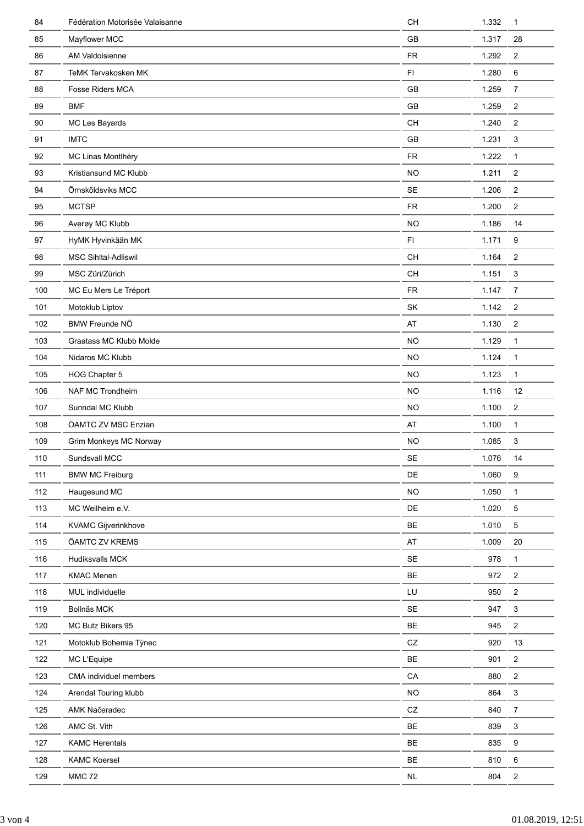| 84  | Fédération Motorisée Valaisanne | CH         | 1.332 | $\mathbf{1}$     |
|-----|---------------------------------|------------|-------|------------------|
| 85  | Mayflower MCC                   | <b>GB</b>  | 1.317 | 28               |
| 86  | AM Valdoisienne                 | <b>FR</b>  | 1.292 | $\overline{2}$   |
| 87  | <b>TeMK Tervakosken MK</b>      | F1         | 1.280 | 6                |
| 88  | Fosse Riders MCA                | GB         | 1.259 | $\overline{7}$   |
| 89  | <b>BMF</b>                      | GB         | 1.259 | $\overline{2}$   |
| 90  | MC Les Bayards                  | <b>CH</b>  | 1.240 | $\overline{2}$   |
| 91  | <b>IMTC</b>                     | GB         | 1.231 | 3                |
| 92  | MC Linas Montlhéry              | <b>FR</b>  | 1.222 | $\mathbf{1}$     |
| 93  | Kristiansund MC Klubb           | <b>NO</b>  | 1.211 | $\overline{c}$   |
| 94  | Örnsköldsviks MCC               | SE         | 1.206 | $\overline{c}$   |
| 95  | <b>MCTSP</b>                    | <b>FR</b>  | 1.200 | $\overline{c}$   |
| 96  | Averøy MC Klubb                 | <b>NO</b>  | 1.186 | 14               |
| 97  | HyMK Hyvinkään MK               | F1         | 1.171 | 9                |
| 98  | <b>MSC Sihltal-Adliswil</b>     | CH         | 1.164 | 2                |
| 99  | MSC Züri/Zürich                 | CH         | 1.151 | 3                |
| 100 | MC Eu Mers Le Tréport           | <b>FR</b>  | 1.147 | $\overline{7}$   |
| 101 | Motoklub Liptov                 | SK         | 1.142 | $\overline{2}$   |
| 102 | BMW Freunde NÖ                  | AT         | 1.130 | $\overline{2}$   |
| 103 | Graatass MC Klubb Molde         | <b>NO</b>  | 1.129 | $\mathbf{1}$     |
| 104 | Nidaros MC Klubb                | <b>NO</b>  | 1.124 | $\mathbf{1}$     |
| 105 | HOG Chapter 5                   | <b>NO</b>  | 1.123 | $\mathbf{1}$     |
| 106 | NAF MC Trondheim                | <b>NO</b>  | 1.116 | 12               |
| 107 | Sunndal MC Klubb                | <b>NO</b>  | 1.100 | $\overline{c}$   |
| 108 | ÖAMTC ZV MSC Enzian             | AT         | 1.100 | $\mathbf{1}$     |
| 109 | Grim Monkeys MC Norway          | <b>NO</b>  | 1.085 | 3                |
| 110 | Sundsvall MCC                   | SE         | 1.076 | 14               |
| 111 | <b>BMW MC Freiburg</b>          | DE         | 1.060 | $\boldsymbol{9}$ |
| 112 | Haugesund MC                    | <b>NO</b>  | 1.050 | $\mathbf{1}$     |
| 113 | MC Weilheim e.V.                | DE         | 1.020 | 5                |
| 114 | <b>KVAMC Gijverinkhove</b>      | BE         | 1.010 | $5\phantom{.0}$  |
| 115 | ÖAMTC ZV KREMS                  | AT         | 1.009 | 20               |
| 116 | Hudiksvalls MCK                 | SE         | 978   | $\mathbf{1}$     |
| 117 | <b>KMAC Menen</b>               | <b>BE</b>  | 972   | $\overline{c}$   |
| 118 | MUL individuelle                | LU         | 950   | $\overline{2}$   |
| 119 | Bollnäs MCK                     | SE         | 947   | $\mathsf 3$      |
| 120 | MC Butz Bikers 95               | BE         | 945   | $\boldsymbol{2}$ |
| 121 | Motoklub Bohemia Týnec          | ${\tt CZ}$ | 920   | 13               |
| 122 | MC L'Equipe                     | BE         | 901   | $\overline{2}$   |
| 123 | CMA individuel members          | CA         | 880   | $\overline{2}$   |
| 124 | Arendal Touring klubb           | <b>NO</b>  | 864   | $\mathfrak{S}$   |
| 125 | AMK Načeradec                   | ${\tt CZ}$ | 840   | $\overline{7}$   |
| 126 | AMC St. Vith                    | BE         | 839   | $\mathsf 3$      |
| 127 |                                 |            |       |                  |
|     | <b>KAMC Herentals</b>           | BE         | 835   | 9                |
| 128 | <b>KAMC Koersel</b>             | BE         | 810   | 6                |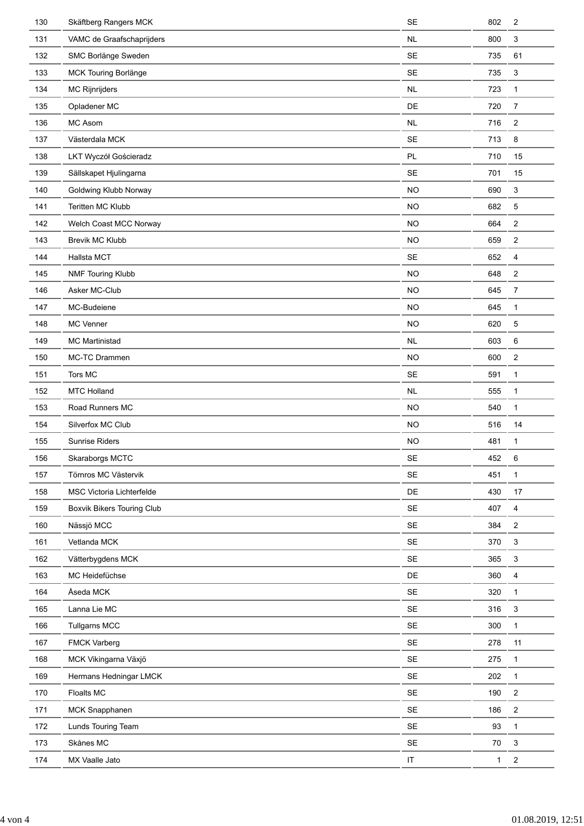| 130 | Skäftberg Rangers MCK      | <b>SE</b>            | 802          | $\overline{2}$            |
|-----|----------------------------|----------------------|--------------|---------------------------|
| 131 | VAMC de Graafschaprijders  | <b>NL</b>            | 800          | 3                         |
| 132 | SMC Borlänge Sweden        | <b>SE</b>            | 735          | 61                        |
| 133 | MCK Touring Borlänge       | <b>SE</b>            | 735          | 3                         |
| 134 | MC Rijnrijders             | NL                   | 723          | $\mathbf{1}$              |
| 135 | Opladener MC               | DE                   | 720          | $\overline{7}$            |
| 136 | MC Asom                    | <b>NL</b>            | 716          | $\overline{c}$            |
| 137 | Västerdala MCK             | <b>SE</b>            | 713          | 8                         |
| 138 | LKT Wyczół Gościeradz      | PL                   | 710          | 15                        |
| 139 | Sällskapet Hjulingarna     | <b>SE</b>            | 701          | 15                        |
| 140 | Goldwing Klubb Norway      | <b>NO</b>            | 690          | $\mathsf 3$               |
| 141 | Teritten MC Klubb          | <b>NO</b>            | 682          | $\mathbf 5$               |
| 142 | Welch Coast MCC Norway     | <b>NO</b>            | 664          | $\overline{2}$            |
| 143 | <b>Brevik MC Klubb</b>     | <b>NO</b>            | 659          | $\overline{2}$            |
| 144 | Hallsta MCT                | <b>SE</b>            | 652          | 4                         |
| 145 | NMF Touring Klubb          | <b>NO</b>            | 648          | $\overline{c}$            |
| 146 | Asker MC-Club              | <b>NO</b>            | 645          | $\overline{7}$            |
| 147 | MC-Budeiene                | <b>NO</b>            | 645          | $\mathbf{1}$              |
| 148 | <b>MC Venner</b>           | <b>NO</b>            | 620          | $\mathbf 5$               |
| 149 | <b>MC Martinistad</b>      | NL                   | 603          | 6                         |
| 150 | MC-TC Drammen              | <b>NO</b>            | 600          | $\overline{2}$            |
| 151 | Tors MC                    | <b>SE</b>            | 591          | 1                         |
| 152 | <b>MTC Holland</b>         | $\sf NL$             | 555          | $\mathbf{1}$              |
| 153 | Road Runners MC            | <b>NO</b>            | 540          | $\mathbf{1}$              |
| 154 | Silverfox MC Club          | <b>NO</b>            | 516          | 14                        |
| 155 | Sunrise Riders             | <b>NO</b>            | 481          | $\mathbf{1}$              |
| 156 | Skaraborgs MCTC            | SE                   | 452          | 6                         |
| 157 | Törnros MC Västervik       | <b>SE</b>            | 451          | $\mathbf{1}$              |
| 158 | MSC Victoria Lichterfelde  | DE                   | 430          | 17                        |
| 159 | Boxvik Bikers Touring Club | $\mathsf{SE}\xspace$ | 407          | 4                         |
| 160 | Nässjö MCC                 | $\mathsf{SE}\xspace$ | 384          | $\boldsymbol{2}$          |
| 161 | Vetlanda MCK               | $\mathsf{SE}\xspace$ | 370          | $\ensuremath{\mathsf{3}}$ |
| 162 | Vätterbygdens MCK          | $\mathsf{SE}\xspace$ | 365          | $\mathsf 3$               |
| 163 | MC Heidefüchse             | DE                   | 360          | 4                         |
| 164 | Åseda MCK                  | <b>SE</b>            | 320          | $\mathbf{1}$              |
| 165 | Lanna Lie MC               | $\mathsf{SE}\xspace$ | 316          | $\mathsf 3$               |
| 166 | <b>Tullgarns MCC</b>       | SE                   | 300          | $\mathbf{1}$              |
| 167 | <b>FMCK Varberg</b>        | $\mathsf{SE}\xspace$ | 278          | 11                        |
| 168 | MCK Vikingarna Växjö       | $\mathsf{SE}\xspace$ | 275          | $\mathbf{1}$              |
| 169 | Hermans Hedningar LMCK     | $\mathsf{SE}\xspace$ | 202          | $\mathbf{1}$              |
| 170 | Floalts MC                 | $\mathsf{SE}\xspace$ | 190          | $\boldsymbol{2}$          |
| 171 | MCK Snapphanen             | <b>SE</b>            | 186          | $\boldsymbol{2}$          |
| 172 | Lunds Touring Team         | $\mathsf{SE}\xspace$ | 93           | $\mathbf{1}$              |
| 173 | Skånes MC                  | SE                   | $70\,$       | 3                         |
| 174 | MX Vaalle Jato             | $\sf IT$             | $\mathbf{1}$ | $\sqrt{2}$                |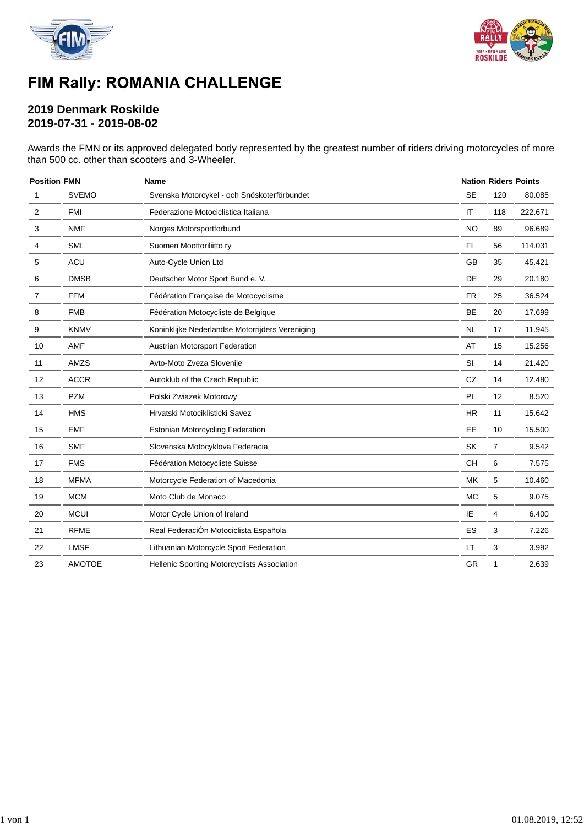



# FIM Rally: ROMANIA CHALLENGE

### **2019 Denmark Roskilde 2019-07-31 - 2019-08-02**

Awards the FMN or its approved delegated body represented by the greatest number of riders driving motorcycles of more than 500 cc. other than scooters and 3-Wheeler.

| <b>Position FMN</b> |               | <b>Name</b>                                     |           |     | <b>Nation Riders Points</b> |
|---------------------|---------------|-------------------------------------------------|-----------|-----|-----------------------------|
| 1                   | <b>SVEMO</b>  | Svenska Motorcykel - och Snöskoterförbundet     | <b>SE</b> | 120 | 80.085                      |
| $\overline{2}$      | <b>FMI</b>    | Federazione Motociclistica Italiana             | IT        | 118 | 222.671                     |
| 3                   | <b>NMF</b>    | Norges Motorsportforbund                        | <b>NO</b> | 89  | 96.689                      |
| 4                   | <b>SML</b>    | Suomen Moottoriliitto ry                        | F1        | 56  | 114.031                     |
| 5                   | <b>ACU</b>    | Auto-Cycle Union Ltd                            | <b>GB</b> | 35  | 45.421                      |
| 6                   | <b>DMSB</b>   | Deutscher Motor Sport Bund e. V.                | DE        | 29  | 20.180                      |
| 7                   | <b>FFM</b>    | Fédération Française de Motocyclisme            | <b>FR</b> | 25  | 36.524                      |
| 8                   | <b>FMB</b>    | Fédération Motocycliste de Belgique             | <b>BE</b> | 20  | 17.699                      |
| 9                   | <b>KNMV</b>   | Koninklijke Nederlandse Motorrijders Vereniging | <b>NL</b> | 17  | 11.945                      |
| 10                  | AMF           | Austrian Motorsport Federation                  | AT        | 15  | 15.256                      |
| 11                  | AMZS          | Avto-Moto Zveza Slovenije                       | <b>SI</b> | 14  | 21.420                      |
| 12                  | <b>ACCR</b>   | Autoklub of the Czech Republic                  | <b>CZ</b> | 14  | 12.480                      |
| 13                  | <b>PZM</b>    | Polski Zwiazek Motorowy                         | <b>PL</b> | 12  | 8.520                       |
| 14                  | <b>HMS</b>    | Hrvatski Motociklisticki Savez                  | <b>HR</b> | 11  | 15.642                      |
| 15                  | <b>EMF</b>    | <b>Estonian Motorcycling Federation</b>         | EE        | 10  | 15.500                      |
| 16                  | <b>SMF</b>    | Slovenska Motocyklova Federacia                 | <b>SK</b> | 7   | 9.542                       |
| 17                  | <b>FMS</b>    | Fédération Motocycliste Suisse                  | <b>CH</b> | 6   | 7.575                       |
| 18                  | <b>MFMA</b>   | Motorcycle Federation of Macedonia              | MK        | 5   | 10.460                      |
| 19                  | <b>MCM</b>    | Moto Club de Monaco                             | <b>MC</b> | 5   | 9.075                       |
| 20                  | <b>MCUI</b>   | Motor Cycle Union of Ireland                    | IE        | 4   | 6.400                       |
| 21                  | <b>RFME</b>   | Real FederaciÓn Motociclista Española           | <b>ES</b> | 3   | 7.226                       |
| 22                  | <b>LMSF</b>   | Lithuanian Motorcycle Sport Federation          | LT        | 3   | 3.992                       |
| 23                  | <b>AMOTOE</b> | Hellenic Sporting Motorcyclists Association     | <b>GR</b> | 1   | 2.639                       |
|                     |               |                                                 |           |     |                             |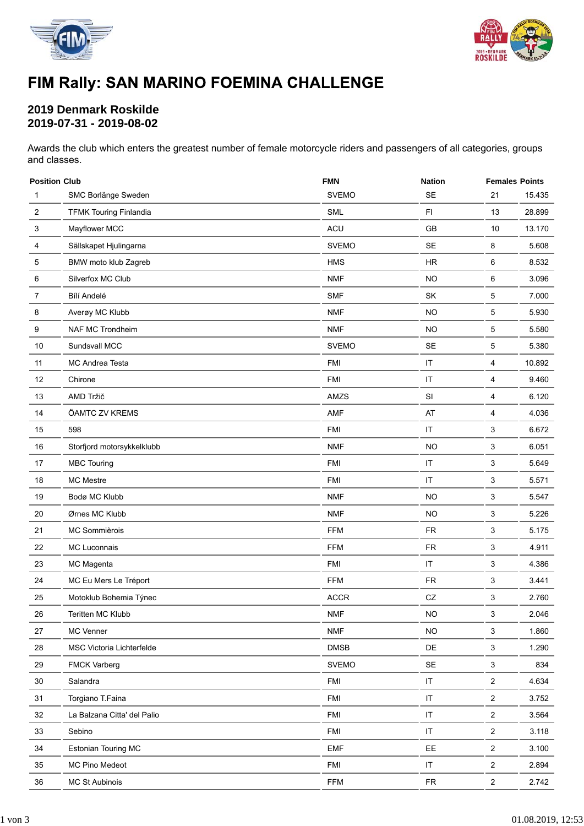



# FIM Rally: SAN MARINO FOEMINA CHALLENGE

### **2019 Denmark Roskilde 2019-07-31 - 2019-08-02**

Awards the club which enters the greatest number of female motorcycle riders and passengers of all categories, groups and classes.

| <b>Position Club</b> |                               | <b>FMN</b>   | <b>Nation</b>        |                | <b>Females Points</b> |  |  |  |  |
|----------------------|-------------------------------|--------------|----------------------|----------------|-----------------------|--|--|--|--|
| 1                    | SMC Borlänge Sweden           | <b>SVEMO</b> | <b>SE</b>            | 21             | 15.435                |  |  |  |  |
| $\overline{c}$       | <b>TFMK Touring Finlandia</b> | <b>SML</b>   | F1                   | 13             | 28.899                |  |  |  |  |
| 3                    | Mayflower MCC                 | ACU          | GB                   | 10             | 13.170                |  |  |  |  |
| 4                    | Sällskapet Hjulingarna        | <b>SVEMO</b> | SE                   | 8              | 5.608                 |  |  |  |  |
| 5                    | BMW moto klub Zagreb          | <b>HMS</b>   | <b>HR</b>            | 6              | 8.532                 |  |  |  |  |
| 6                    | Silverfox MC Club             | <b>NMF</b>   | <b>NO</b>            | 6              | 3.096                 |  |  |  |  |
| 7                    | Bílí Andelé                   | <b>SMF</b>   | SK                   | 5              | 7.000                 |  |  |  |  |
| 8                    | Averøy MC Klubb               | <b>NMF</b>   | <b>NO</b>            | 5              | 5.930                 |  |  |  |  |
| 9                    | NAF MC Trondheim              | <b>NMF</b>   | <b>NO</b>            | 5              | 5.580                 |  |  |  |  |
| 10                   | Sundsvall MCC                 | <b>SVEMO</b> | <b>SE</b>            | 5              | 5.380                 |  |  |  |  |
| 11                   | MC Andrea Testa               | <b>FMI</b>   | IT                   | 4              | 10.892                |  |  |  |  |
| 12                   | Chirone                       | <b>FMI</b>   | $\sf IT$             | 4              | 9.460                 |  |  |  |  |
| 13                   | AMD Tržič                     | AMZS         | SI                   | 4              | 6.120                 |  |  |  |  |
| 14                   | ÖAMTC ZV KREMS                | <b>AMF</b>   | AT                   | 4              | 4.036                 |  |  |  |  |
| 15                   | 598                           | <b>FMI</b>   | IT                   | 3              | 6.672                 |  |  |  |  |
| $16\,$               | Storfjord motorsykkelklubb    | <b>NMF</b>   | <b>NO</b>            | 3              | 6.051                 |  |  |  |  |
| 17                   | <b>MBC Touring</b>            | <b>FMI</b>   | IT                   | 3              | 5.649                 |  |  |  |  |
| 18                   | <b>MC Mestre</b>              | <b>FMI</b>   | $\sf IT$             | 3              | 5.571                 |  |  |  |  |
| 19                   | Bodø MC Klubb                 | <b>NMF</b>   | <b>NO</b>            | 3              | 5.547                 |  |  |  |  |
| 20                   | Ørnes MC Klubb                | <b>NMF</b>   | <b>NO</b>            | 3              | 5.226                 |  |  |  |  |
| 21                   | MC Sommièrois                 | <b>FFM</b>   | <b>FR</b>            | 3              | 5.175                 |  |  |  |  |
| 22                   | MC Luconnais                  | <b>FFM</b>   | ${\sf FR}$           | 3              | 4.911                 |  |  |  |  |
| 23                   | MC Magenta                    | <b>FMI</b>   | IT                   | 3              | 4.386                 |  |  |  |  |
| 24                   | MC Eu Mers Le Tréport         | <b>FFM</b>   | <b>FR</b>            | 3              | 3.441                 |  |  |  |  |
| 25                   | Motoklub Bohemia Týnec        | <b>ACCR</b>  | ${\sf CZ}$           | 3              | 2.760                 |  |  |  |  |
| 26                   | Teritten MC Klubb             | <b>NMF</b>   | <b>NO</b>            | 3              | 2.046                 |  |  |  |  |
| 27                   | MC Venner                     | <b>NMF</b>   | <b>NO</b>            | 3              | 1.860                 |  |  |  |  |
| 28                   | MSC Victoria Lichterfelde     | <b>DMSB</b>  | DE                   | 3              | 1.290                 |  |  |  |  |
| 29                   | <b>FMCK Varberg</b>           | <b>SVEMO</b> | $\mathsf{SE}\xspace$ | $\mathbf{3}$   | 834                   |  |  |  |  |
| $30\,$               | Salandra                      | <b>FMI</b>   | IT                   | $\overline{a}$ | 4.634                 |  |  |  |  |
| 31                   | Torgiano T.Faina              | <b>FMI</b>   | $\sf IT$             | $\overline{a}$ | 3.752                 |  |  |  |  |
| 32                   | La Balzana Citta' del Palio   | <b>FMI</b>   | $\sf IT$             | $\overline{a}$ | 3.564                 |  |  |  |  |
| 33                   | Sebino                        | <b>FMI</b>   | IT                   | $\overline{2}$ | 3.118                 |  |  |  |  |
| 34                   | Estonian Touring MC           | <b>EMF</b>   | EE                   | $\overline{2}$ | 3.100                 |  |  |  |  |
| 35                   | MC Pino Medeot                | <b>FMI</b>   | $\sf IT$             | $\overline{a}$ | 2.894                 |  |  |  |  |
| 36                   | MC St Aubinois                | <b>FFM</b>   | FR                   | $\overline{2}$ | 2.742                 |  |  |  |  |
|                      |                               |              |                      |                |                       |  |  |  |  |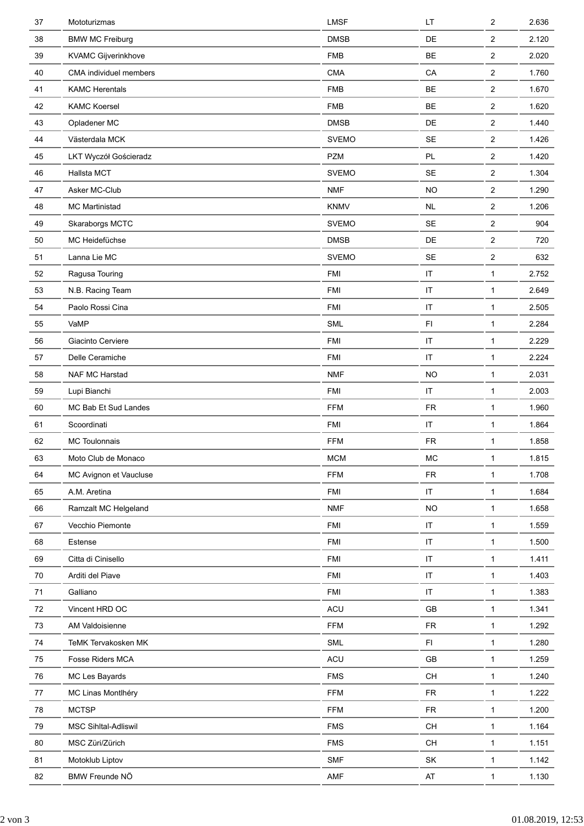| 37         | Mototurizmas           | <b>LMSF</b>  | LT                                                                                      | $\overline{2}$          | 2.636 |
|------------|------------------------|--------------|-----------------------------------------------------------------------------------------|-------------------------|-------|
| 38         | <b>BMW MC Freiburg</b> | <b>DMSB</b>  | DE                                                                                      | $\overline{2}$          | 2.120 |
| 39         | KVAMC Gijverinkhove    | <b>FMB</b>   | <b>BE</b>                                                                               | $\overline{\mathbf{c}}$ | 2.020 |
| 40         | CMA individuel members | <b>CMA</b>   | CA                                                                                      | $\overline{2}$          | 1.760 |
| 41         | <b>KAMC Herentals</b>  | <b>FMB</b>   | BE                                                                                      | $\overline{2}$          | 1.670 |
| 42         | <b>KAMC Koersel</b>    | <b>FMB</b>   | BE                                                                                      | $\overline{2}$          | 1.620 |
| 43         | Opladener MC           | <b>DMSB</b>  | DE                                                                                      | $\overline{2}$          | 1.440 |
| 44         | Västerdala MCK         | <b>SVEMO</b> | <b>SE</b>                                                                               | $\boldsymbol{2}$        | 1.426 |
| 45         | LKT Wyczół Gościeradz  | <b>PZM</b>   | PL                                                                                      | $\overline{2}$          | 1.420 |
| 46         | Hallsta MCT            | <b>SVEMO</b> | SE                                                                                      | $\boldsymbol{2}$        | 1.304 |
| 47         | Asker MC-Club          | <b>NMF</b>   | <b>NO</b>                                                                               | $\boldsymbol{2}$        | 1.290 |
| 48         | <b>MC Martinistad</b>  | <b>KNMV</b>  | $\sf NL$                                                                                | $\overline{2}$          | 1.206 |
| 49         | Skaraborgs MCTC        | <b>SVEMO</b> | SE                                                                                      | $\overline{2}$          | 904   |
| 50         | MC Heidefüchse         | <b>DMSB</b>  | DE                                                                                      | $\overline{2}$          | 720   |
| 51         | Lanna Lie MC           | <b>SVEMO</b> | <b>SE</b>                                                                               | $\boldsymbol{2}$        | 632   |
| 52         | Ragusa Touring         | <b>FMI</b>   | $\sf IT$                                                                                | $\mathbf{1}$            | 2.752 |
| 53         | N.B. Racing Team       | <b>FMI</b>   | $\sf IT$                                                                                | 1                       | 2.649 |
| 54         | Paolo Rossi Cina       | <b>FMI</b>   | $\sf IT$                                                                                | 1                       | 2.505 |
| 55         | VaMP                   | <b>SML</b>   | F <sub>1</sub>                                                                          | 1                       | 2.284 |
| 56         | Giacinto Cerviere      | <b>FMI</b>   | IT                                                                                      | $\mathbf{1}$            | 2.229 |
| 57         | Delle Ceramiche        | <b>FMI</b>   | $\sf IT$                                                                                | $\mathbf{1}$            | 2.224 |
| 58         | NAF MC Harstad         | <b>NMF</b>   | <b>NO</b>                                                                               | 1                       | 2.031 |
| 59         | Lupi Bianchi           | <b>FMI</b>   | $\sf IT$                                                                                | $\mathbf{1}$            | 2.003 |
| 60         | MC Bab Et Sud Landes   | <b>FFM</b>   | ${\sf FR}$                                                                              | 1                       | 1.960 |
| 61         | Scoordinati            | <b>FMI</b>   | $\sf IT$                                                                                | 1                       | 1.864 |
| 62         | <b>MC Toulonnais</b>   | <b>FFM</b>   | <b>FR</b>                                                                               | $\mathbf{1}$            | 1.858 |
| 63         | Moto Club de Monaco    | <b>MCM</b>   | MC                                                                                      | 1                       | 1.815 |
| 64         | MC Avignon et Vaucluse | <b>FFM</b>   | ${\sf FR}$                                                                              | $\mathbf{1}$            | 1.708 |
| 65         | A.M. Aretina           | <b>FMI</b>   | $\sf IT$                                                                                | $\mathbf{1}$            | 1.684 |
| 66         | Ramzalt MC Helgeland   | <b>NMF</b>   | <b>NO</b>                                                                               | $\mathbf{1}$            | 1.658 |
| 67         | Vecchio Piemonte       | <b>FMI</b>   | $\sf IT$                                                                                | $\mathbf{1}$            | 1.559 |
| 68         | Estense                | <b>FMI</b>   | $\sf IT$                                                                                | $\mathbf{1}$            | 1.500 |
| 69         | Citta di Cinisello     | <b>FMI</b>   | $\sf IT$                                                                                | $\mathbf{1}$            | 1.411 |
| 70         | Arditi del Piave       | <b>FMI</b>   | $\sf IT$                                                                                | $\mathbf{1}$            | 1.403 |
| $71$       | Galliano               | <b>FMI</b>   | $\sf IT$                                                                                | $\mathbf{1}$            | 1.383 |
| $72\,$     | Vincent HRD OC         | <b>ACU</b>   | $\mathsf{GB}$                                                                           | $\mathbf{1}$            | 1.341 |
| 73         | AM Valdoisienne        | <b>FFM</b>   | ${\sf FR}$                                                                              | $\mathbf{1}$            | 1.292 |
| 74         | TeMK Tervakosken MK    | <b>SML</b>   | F1                                                                                      | $\mathbf{1}$            | 1.280 |
| 75         | Fosse Riders MCA       | <b>ACU</b>   | $\mathsf{GB}$                                                                           | $\mathbf{1}$            | 1.259 |
| 76         | MC Les Bayards         | <b>FMS</b>   | $\mathsf{CH}% \left( \mathcal{M}\right)$                                                | $\mathbf{1}$            | 1.240 |
| $77\,$     | MC Linas Montlhéry     | <b>FFM</b>   | ${\sf FR}$                                                                              | $\mathbf{1}$            | 1.222 |
| ${\bf 78}$ | <b>MCTSP</b>           | <b>FFM</b>   | ${\sf FR}$                                                                              | $\mathbf{1}$            | 1.200 |
| ${\bf 79}$ | MSC Sihltal-Adliswil   | <b>FMS</b>   | $\mathsf{CH}% \left( \mathcal{M}\right)$                                                | $\mathbf{1}$            | 1.164 |
| 80         | MSC Züri/Zürich        | <b>FMS</b>   | $\mathsf{CH}% \left( \mathcal{M}\right) \equiv\mathsf{CH}^{3}\left( \mathcal{M}\right)$ | $\mathbf{1}$            | 1.151 |
| 81         | Motoklub Liptov        | <b>SMF</b>   | SK                                                                                      | $\mathbf{1}$            | 1.142 |
| 82         | BMW Freunde NÖ         | AMF          | AT                                                                                      | $\mathbf{1}$            | 1.130 |
|            |                        |              |                                                                                         |                         |       |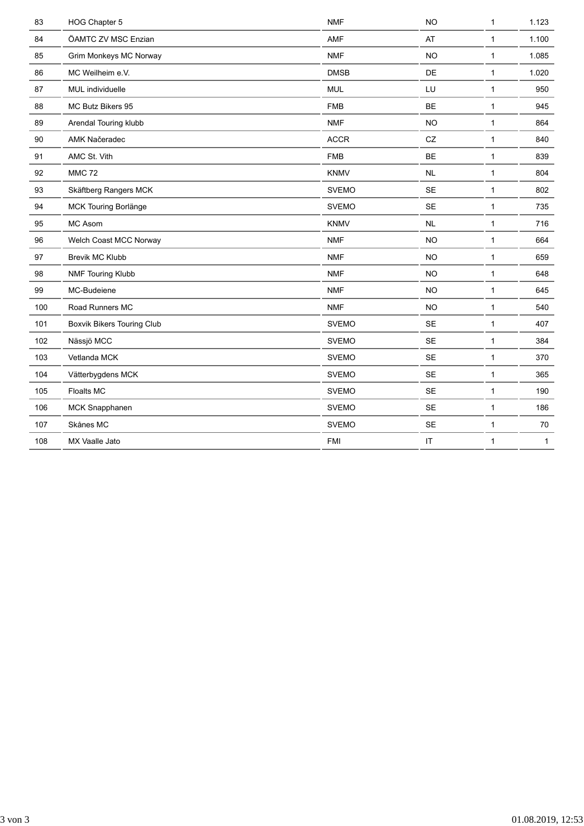| 83  | HOG Chapter 5              | <b>NMF</b>   | <b>NO</b> | $\mathbf{1}$ | 1.123        |
|-----|----------------------------|--------------|-----------|--------------|--------------|
| 84  | ÖAMTC ZV MSC Enzian        | AMF          | AT        | $\mathbf{1}$ | 1.100        |
| 85  | Grim Monkeys MC Norway     | <b>NMF</b>   | <b>NO</b> | 1            | 1.085        |
| 86  | MC Weilheim e.V.           | <b>DMSB</b>  | DE        | 1            | 1.020        |
| 87  | MUL individuelle           | <b>MUL</b>   | LU        | $\mathbf{1}$ | 950          |
| 88  | MC Butz Bikers 95          | <b>FMB</b>   | <b>BE</b> | 1            | 945          |
| 89  | Arendal Touring klubb      | <b>NMF</b>   | <b>NO</b> | 1            | 864          |
| 90  | AMK Načeradec              | <b>ACCR</b>  | CZ        | 1            | 840          |
| 91  | AMC St. Vith               | <b>FMB</b>   | <b>BE</b> | 1            | 839          |
| 92  | <b>MMC 72</b>              | <b>KNMV</b>  | NL        | 1            | 804          |
| 93  | Skäftberg Rangers MCK      | <b>SVEMO</b> | <b>SE</b> | 1            | 802          |
| 94  | MCK Touring Borlänge       | <b>SVEMO</b> | <b>SE</b> | 1            | 735          |
| 95  | MC Asom                    | <b>KNMV</b>  | NL        | 1            | 716          |
|     |                            |              |           |              |              |
| 96  | Welch Coast MCC Norway     | <b>NMF</b>   | <b>NO</b> | $\mathbf{1}$ | 664          |
| 97  | Brevik MC Klubb            | <b>NMF</b>   | <b>NO</b> | 1            | 659          |
| 98  | NMF Touring Klubb          | <b>NMF</b>   | <b>NO</b> | 1            | 648          |
| 99  | MC-Budeiene                | <b>NMF</b>   | <b>NO</b> | 1            | 645          |
| 100 | Road Runners MC            | <b>NMF</b>   | <b>NO</b> | $\mathbf 1$  | 540          |
| 101 | Boxvik Bikers Touring Club | <b>SVEMO</b> | SE        | $\mathbf{1}$ | 407          |
| 102 | Nässjö MCC                 | <b>SVEMO</b> | <b>SE</b> | 1            | 384          |
| 103 | Vetlanda MCK               | <b>SVEMO</b> | <b>SE</b> | 1            | 370          |
| 104 | Vätterbygdens MCK          | <b>SVEMO</b> | <b>SE</b> | 1            | 365          |
| 105 | Floalts MC                 | <b>SVEMO</b> | <b>SE</b> | 1            | 190          |
| 106 | MCK Snapphanen             | <b>SVEMO</b> | <b>SE</b> | $\mathbf 1$  | 186          |
| 107 | Skånes MC                  | <b>SVEMO</b> | SE        | 1            | 70           |
| 108 | MX Vaalle Jato             | <b>FMI</b>   | $\sf IT$  | $\mathbf{1}$ | $\mathbf{1}$ |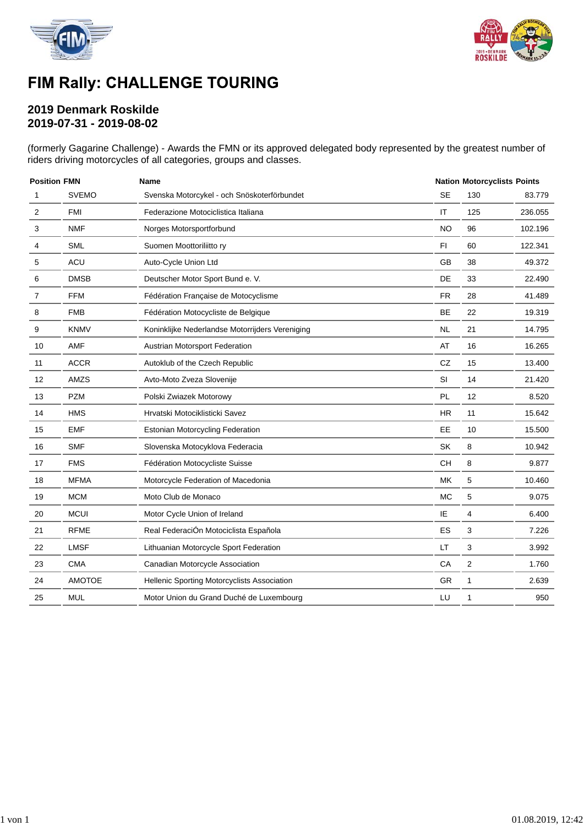



### FIM Rally: CHALLENGE TOURING

### **2019 Denmark Roskilde 2019-07-31 - 2019-08-02**

(formerly Gagarine Challenge) - Awards the FMN or its approved delegated body represented by the greatest number of riders driving motorcycles of all categories, groups and classes.

| <b>Position FMN</b> |                                                      | <b>Name</b>                                     |           |     | <b>Nation Motorcyclists Points</b> |  |  |
|---------------------|------------------------------------------------------|-------------------------------------------------|-----------|-----|------------------------------------|--|--|
| 1                   | <b>SVEMO</b>                                         | Svenska Motorcykel - och Snöskoterförbundet     | <b>SE</b> | 130 | 83.779                             |  |  |
| $\overline{2}$      | <b>FMI</b>                                           | Federazione Motociclistica Italiana             | IT        | 125 | 236.055                            |  |  |
| 3                   | <b>NMF</b><br>Norges Motorsportforbund<br><b>SML</b> |                                                 | <b>NO</b> | 96  | 102.196                            |  |  |
| 4                   |                                                      | Suomen Moottoriliitto ry                        | F1        | 60  | 122.341                            |  |  |
| 5                   | <b>ACU</b>                                           | Auto-Cycle Union Ltd                            |           | 38  | 49.372                             |  |  |
| 6                   | <b>DMSB</b>                                          | Deutscher Motor Sport Bund e. V.                |           | 33  | 22.490                             |  |  |
| 7                   | <b>FFM</b>                                           | Fédération Française de Motocyclisme            | <b>FR</b> | 28  | 41.489                             |  |  |
| 8                   | <b>FMB</b>                                           | Fédération Motocycliste de Belgique             | <b>BE</b> | 22  | 19.319                             |  |  |
| 9                   | <b>KNMV</b>                                          | Koninklijke Nederlandse Motorrijders Vereniging | <b>NL</b> | 21  | 14.795                             |  |  |
| 10                  | AMF                                                  | Austrian Motorsport Federation                  | AT        | 16  | 16.265                             |  |  |
| 11                  | <b>ACCR</b>                                          | Autoklub of the Czech Republic                  | <b>CZ</b> | 15  | 13.400                             |  |  |
| 12                  | AMZS                                                 | Avto-Moto Zveza Slovenije                       | SI        | 14  | 21.420                             |  |  |
| 13                  | <b>PZM</b>                                           | Polski Zwiazek Motorowy                         | PL        | 12  | 8.520                              |  |  |
| 14                  | <b>HMS</b>                                           | Hrvatski Motociklisticki Savez                  | <b>HR</b> | 11  | 15.642                             |  |  |
| 15                  | <b>EMF</b>                                           | <b>Estonian Motorcycling Federation</b>         | EE        | 10  | 15.500                             |  |  |
| 16                  | <b>SMF</b>                                           | Slovenska Motocyklova Federacia                 | <b>SK</b> | 8   | 10.942                             |  |  |
| 17                  | <b>FMS</b>                                           | Fédération Motocycliste Suisse                  | <b>CH</b> | 8   | 9.877                              |  |  |
| 18                  | <b>MFMA</b>                                          | Motorcycle Federation of Macedonia              | <b>MK</b> | 5   | 10.460                             |  |  |
| 19                  | <b>MCM</b>                                           | Moto Club de Monaco                             | <b>MC</b> | 5   | 9.075                              |  |  |
| 20                  | <b>MCUI</b>                                          | Motor Cycle Union of Ireland                    | IE        | 4   | 6.400                              |  |  |
| 21                  | <b>RFME</b>                                          | Real FederaciÓn Motociclista Española           | <b>ES</b> | 3   | 7.226                              |  |  |
| 22                  | <b>LMSF</b>                                          | Lithuanian Motorcycle Sport Federation          | LT.       | 3   | 3.992                              |  |  |
| 23                  | <b>CMA</b>                                           | Canadian Motorcycle Association                 | CA        | 2   | 1.760                              |  |  |
| 24                  | <b>AMOTOE</b>                                        | Hellenic Sporting Motorcyclists Association     | GR        | 1   | 2.639                              |  |  |
| 25                  | <b>MUL</b>                                           | Motor Union du Grand Duché de Luxembourg        | LU        | 1   | 950                                |  |  |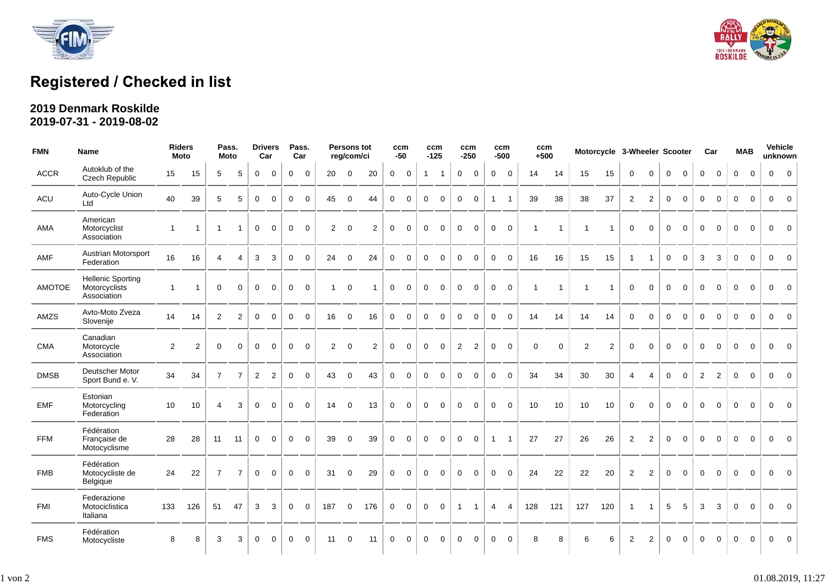



# Registered / Checked in list

#### **2019 Denmark Roskilde 2019-07-31 - 2019-08-02**

| <b>FMN</b>    | <b>Name</b>                                              |                | <b>Riders</b><br>Moto |                | Pass.<br><b>Moto</b> |                | <b>Drivers</b><br>Car |              | Pass.<br>Car   |                | <b>Persons tot</b><br>reg/com/ci |                |             | ccm<br>$-50$ |              | ccm<br>ccm<br>$-250$<br>$-125$ |              | ccm<br>ccm<br>$+500$<br>$-500$ |                | Motorcycle 3-Wheeler Scooter |              |             |             |                |                | Car            |                | <b>MAB</b>  |              | Vehicle<br>unknown |             |          |                |                |
|---------------|----------------------------------------------------------|----------------|-----------------------|----------------|----------------------|----------------|-----------------------|--------------|----------------|----------------|----------------------------------|----------------|-------------|--------------|--------------|--------------------------------|--------------|--------------------------------|----------------|------------------------------|--------------|-------------|-------------|----------------|----------------|----------------|----------------|-------------|--------------|--------------------|-------------|----------|----------------|----------------|
| <b>ACCR</b>   | Autoklub of the<br><b>Czech Republic</b>                 | 15             | 15                    | 5              | 5                    | $\mathbf 0$    | $\mathbf 0$           | $\mathbf 0$  | $\mathbf 0$    | 20             | $\mathbf 0$                      | 20             | $\mathbf 0$ | $\mathbf 0$  | $\mathbf{1}$ | $\overline{1}$                 | $\mathbf 0$  | $\mathbf 0$                    | $\mathbf 0$    | $\mathbf 0$                  | 14           | 14          | 15          | 15             | $\mathbf{0}$   | $\mathbf 0$    | $\mathbf 0$    | $\mathbf 0$ | $\mathbf 0$  | $\mathbf 0$        | $\mathbf 0$ | $\Omega$ | $\mathbf 0$    | $\overline{0}$ |
| ACU           | Auto-Cycle Union<br>Ltd                                  | 40             | 39                    | 5              | 5                    | $\mathbf{0}$   | $\Omega$              | $\Omega$     | $\Omega$       | 45             | $\Omega$                         | 44             | $\Omega$    | $\Omega$     | $\mathbf 0$  | $\Omega$                       | $\mathbf 0$  | $\Omega$                       | $\overline{1}$ | $\overline{1}$               | 39           | 38          | 38          | 37             | 2              | 2              | $\mathbf{0}$   | $\Omega$    | $\Omega$     | $\Omega$           | $\Omega$    | $\Omega$ | $\mathbf{0}$   | $\Omega$       |
| AMA           | American<br>Motorcyclist<br>Association                  | $\overline{1}$ | $\mathbf{1}$          | $\overline{1}$ | $\mathbf{1}$         | $\mathbf 0$    | $\mathbf 0$           | $\mathbf 0$  | $\mathbf 0$    | $\overline{2}$ | $\mathbf 0$                      | $\overline{2}$ | $\mathbf 0$ | $\mathbf 0$  | $\mathbf 0$  | $\mathbf 0$                    | $\mathbf 0$  | $\mathbf 0$                    | $\mathbf 0$    | $\mathbf 0$                  | $\mathbf{1}$ | $\mathbf 1$ | 1           | $\overline{1}$ | $\mathbf 0$    | $\Omega$       | $\mathbf 0$    | $\mathbf 0$ | $\mathbf 0$  | $\mathbf 0$        | $\mathbf 0$ | $\Omega$ | $\mathbf 0$    | $\Omega$       |
| AMF           | Austrian Motorsport<br>Federation                        | 16             | 16                    | $\overline{4}$ | $\overline{4}$       | 3              | 3                     | $\mathbf 0$  | $\Omega$       | 24             | $\mathbf 0$                      | 24             | $\mathbf 0$ | $\Omega$     | $\mathbf 0$  | $\Omega$                       | $\mathbf 0$  | $\Omega$                       | $\mathbf 0$    | $\Omega$                     | 16           | 16          | 15          | 15             | $\overline{1}$ |                | $\mathbf{0}$   | $\Omega$    | 3            | 3                  | $\Omega$    | $\Omega$ | $\mathbf{0}$   | $\Omega$       |
| <b>AMOTOE</b> | <b>Hellenic Sporting</b><br>Motorcyclists<br>Association | $\overline{1}$ | $\overline{1}$        | $\mathbf 0$    | $\Omega$             | $\mathbf 0$    | $\mathbf 0$           | $\mathbf 0$  | $\overline{0}$ | $\mathbf{1}$   | $\mathbf 0$                      |                | $\mathbf 0$ | $\mathbf 0$  | $\mathbf 0$  | $\mathbf 0$                    | $\mathbf 0$  | $\mathbf 0$                    | $\mathbf 0$    | $\overline{0}$               | $\mathbf{1}$ | 1           | $\mathbf 1$ | $\overline{1}$ | $\mathbf 0$    | $\Omega$       | $\mathbf 0$    | $\mathbf 0$ | $\mathbf 0$  | $\mathbf 0$        | $\Omega$    | $\Omega$ | $\mathbf{0}$   | $\overline{0}$ |
| AMZS          | Avto-Moto Zveza<br>Slovenije                             | 14             | 14                    | $\overline{2}$ | 2                    | $\overline{0}$ | $\overline{0}$        | $\mathbf 0$  | $\mathbf 0$    | 16             | $\mathbf 0$                      | 16             | $\mathbf 0$ | $\mathbf{0}$ | $\mathbf 0$  | $\mathbf 0$                    | $\mathbf 0$  | $\mathbf 0$                    | $\overline{0}$ | $\overline{0}$               | 14           | 14          | 14          | 14             | $\Omega$       | $\Omega$       | $\overline{0}$ | $\Omega$    | $\mathbf{0}$ | $\Omega$           | $\Omega$    | $\Omega$ | $\overline{0}$ | $\overline{0}$ |
| <b>CMA</b>    | Canadian<br>Motorcycle<br>Association                    | 2              | 2                     | $\mathbf 0$    | $\Omega$             | $\mathbf{0}$   | $\Omega$              | $\Omega$     | $\Omega$       | $\overline{2}$ | $\mathbf 0$                      | 2              | $\mathbf 0$ | $\Omega$     | $\mathbf 0$  | $\mathbf 0$                    | 2            | 2                              | $\mathbf 0$    | $\Omega$                     | $\Omega$     | $\Omega$    | 2           | $\overline{2}$ | $\Omega$       | $\Omega$       | $\mathbf 0$    | $\Omega$    | $\Omega$     | $\Omega$           | $\Omega$    | $\Omega$ | $\mathbf 0$    | $\Omega$       |
| <b>DMSB</b>   | Deutscher Motor<br>Sport Bund e. V.                      | 34             | 34                    | $\overline{7}$ | $\overline{7}$       | $\overline{2}$ | $\overline{2}$        | $\mathbf 0$  | $\Omega$       | 43             | $\mathbf 0$                      | 43             | $\mathbf 0$ | $\mathbf 0$  | $\mathbf 0$  | $\mathbf 0$                    | $\mathbf 0$  | $\mathbf 0$                    | $\overline{0}$ | $\Omega$                     | 34           | 34          | 30          | 30             | 4              | $\overline{4}$ | $\mathbf{0}$   | $\mathbf 0$ | 2            | 2                  | $\mathbf 0$ | $\Omega$ | $\overline{0}$ | $\overline{0}$ |
| <b>EMF</b>    | Estonian<br>Motorcycling<br>Federation                   | 10             | 10                    | 4              | 3                    | $\mathbf{0}$   | $\mathbf 0$           | $\mathbf{0}$ | $\mathbf 0$    | 14             | $\mathbf 0$                      | 13             | $\mathbf 0$ | $\mathbf 0$  | $\mathbf 0$  | $\mathbf 0$                    | $\mathbf 0$  | $\mathbf 0$                    | $\mathbf 0$    | $\overline{0}$               | 10           | 10          | 10          | 10             | $\mathbf 0$    | $\Omega$       | $\mathbf 0$    | $\mathbf 0$ | $\mathbf 0$  | $\mathbf 0$        | $\mathbf 0$ | $\Omega$ | $\mathbf 0$    | $\Omega$       |
| <b>FFM</b>    | Fédération<br>Francaise de<br>Motocyclisme               | 28             | 28                    | 11             | 11                   | $\mathbf{0}$   | $\mathbf 0$           | $\mathbf 0$  | $\Omega$       | 39             | $\mathbf 0$                      | 39             | $\mathbf 0$ | $\mathbf{0}$ | $\mathbf 0$  | $\mathbf 0$                    | $\mathbf 0$  | $\mathbf 0$                    | $\overline{1}$ | $\overline{1}$               | 27           | 27          | 26          | 26             | 2              | 2              | $\mathbf 0$    | $\Omega$    | $\Omega$     | $\Omega$           | $\Omega$    | $\Omega$ | $\mathbf{0}$   | $\overline{0}$ |
| <b>FMB</b>    | Fédération<br>Motocycliste de<br>Belgique                | 24             | 22                    | $\overline{7}$ | $\overline{7}$       | $\mathbf 0$    | $\mathbf 0$           | $\mathbf 0$  | $\mathbf 0$    | 31             | $\mathbf 0$                      | 29             | $\mathbf 0$ | $\Omega$     | $\mathbf 0$  | $\mathbf 0$                    | $\mathbf 0$  | $\Omega$                       | $\mathbf 0$    | $\Omega$                     | 24           | 22          | 22          | 20             | 2              | 2              | $\mathbf 0$    | $\Omega$    | $\Omega$     | $\Omega$           | $\Omega$    | $\Omega$ | $\mathbf{0}$   | $\Omega$       |
| <b>FMI</b>    | Federazione<br>Motociclistica<br>Italiana                | 133            | 126                   | 51             | 47                   | 3 <sup>1</sup> | 3                     | $\mathbf 0$  | $\mathbf 0$    | 187            | $\mathbf 0$                      | 176            | $\mathbf 0$ | $\mathbf 0$  | $\mathbf 0$  | $\mathbf 0$                    | $\mathbf{1}$ | $\mathbf{1}$                   | $\overline{4}$ | $\overline{4}$               | 128          | 121         | 127         | 120            | $\overline{1}$ |                | 5              | 5           | 3            | 3                  | $\mathbf 0$ | $\Omega$ | $\mathbf 0$    | $\Omega$       |
| <b>FMS</b>    | Fédération<br>Motocycliste                               | 8              | 8                     | 3              | 3                    | $\mathbf 0$    | $\mathbf 0$           | $\mathbf 0$  | $\mathbf 0$    | 11             | $\mathbf 0$                      | 11             | $\mathbf 0$ | $\mathbf 0$  | $\mathbf 0$  | $\mathbf 0$                    | $\mathbf 0$  | $\mathbf{0}$                   | $\mathbf 0$    | $\mathbf 0$                  | 8            | 8           | 6           | 6              | 2              | $\overline{2}$ | $\mathbf 0$    | $\mathbf 0$ | $\mathbf 0$  | $\mathbf 0$        | $\mathbf 0$ | $\Omega$ | $\mathbf 0$    | $\overline{0}$ |